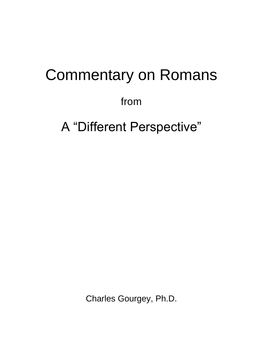# Commentary on Romans from A "Different Perspective"

Charles Gourgey, Ph.D.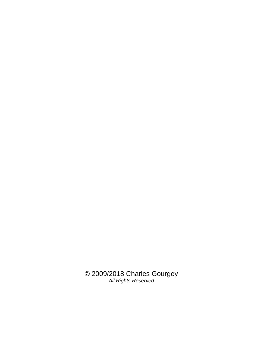© 2009/2018 Charles Gourgey *All Rights Reserved*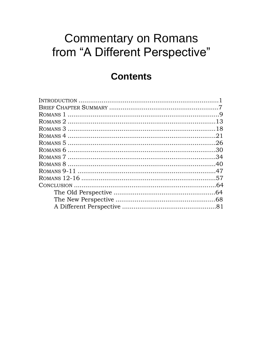# **Commentary on Romans** from "A Different Perspective"

### **Contents**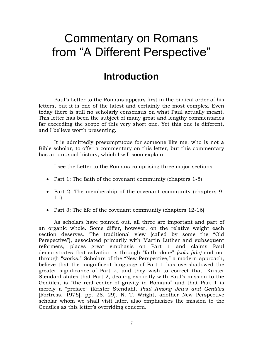# Commentary on Romans from "A Different Perspective"

### **Introduction**

Paul's Letter to the Romans appears first in the biblical order of his letters, but it is one of the latest and certainly the most complex. Even today there is still no scholarly consensus on what Paul actually meant. This letter has been the subject of many great and lengthy commentaries far exceeding the scope of this very short one. Yet this one is different, and I believe worth presenting.

It is admittedly presumptuous for someone like me, who is not a Bible scholar, to offer a commentary on this letter, but this commentary has an unusual history, which I will soon explain.

I see the Letter to the Romans comprising three major sections:

- Part 1: The faith of the covenant community (chapters 1-8)
- Part 2: The membership of the covenant community (chapters 9- 11)
- Part 3: The life of the covenant community (chapters 12-16)

As scholars have pointed out, all three are important and part of an organic whole. Some differ, however, on the relative weight each section deserves. The traditional view (called by some the "Old Perspective"), associated primarily with Martin Luther and subsequent reformers, places great emphasis on Part 1 and claims Paul demonstrates that salvation is through "faith alone" *(sola fide)* and not through "works." Scholars of the "New Perspective," a modern approach, believe that the magnificent language of Part 1 has overshadowed the greater significance of Part 2, and they wish to correct that. Krister Stendahl states that Part 2, dealing explicitly with Paul's mission to the Gentiles, is "the real center of gravity in Romans" and that Part 1 is merely a "preface" (Krister Stendahl, *Paul Among Jews and Gentiles* [Fortress, 1976], pp. 28, 29). N. T. Wright, another New Perspective scholar whom we shall visit later, also emphasizes the mission to the Gentiles as this letter's overriding concern.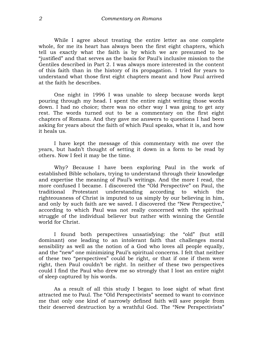While I agree about treating the entire letter as one complete whole, for me its heart has always been the first eight chapters, which tell us exactly what the faith is by which we are presumed to be "justified" and that serves as the basis for Paul's inclusive mission to the Gentiles described in Part 2. I was always more interested in the content of this faith than in the history of its propagation. I tried for years to understand what those first eight chapters meant and how Paul arrived at the faith he describes.

One night in 1996 I was unable to sleep because words kept pouring through my head. I spent the entire night writing those words down. I had no choice; there was no other way I was going to get any rest. The words turned out to be a commentary on the first eight chapters of Romans. And they gave me answers to questions I had been asking for years about the faith of which Paul speaks, what it is, and how it heals us.

I have kept the message of this commentary with me over the years, but hadn't thought of setting it down in a form to be read by others. Now I feel it may be the time.

Why? Because I have been exploring Paul in the work of established Bible scholars, trying to understand through their knowledge and expertise the meaning of Paul's writings. And the more I read, the more confused I became. I discovered the "Old Perspective" on Paul, the traditional Protestant understanding according to which the righteousness of Christ is imputed to us simply by our believing in him, and only by such faith are we saved. I discovered the "New Perspective," according to which Paul was not really concerned with the spiritual struggle of the individual believer but rather with winning the Gentile world for Christ.

I found both perspectives unsatisfying: the "old" (but still dominant) one leading to an intolerant faith that challenges moral sensibility as well as the notion of a God who loves all people equally, and the "new" one minimizing Paul's spiritual concerns. I felt that neither of these two "perspectives" could be right, or that if one if them were right, then Paul couldn't be right. In neither of these two perspectives could I find the Paul who drew me so strongly that I lost an entire night of sleep captured by his words.

As a result of all this study I began to lose sight of what first attracted me to Paul. The "Old Perspectivists" seemed to want to convince me that only one kind of narrowly defined faith will save people from their deserved destruction by a wrathful God. The "New Perspectivists"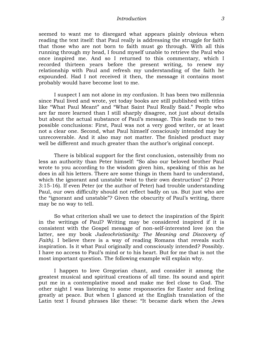#### *Introduction 3*

seemed to want me to disregard what appears plainly obvious when reading the text itself: that Paul really is addressing the struggle for faith that those who are not born to faith must go through. With all this running through my head, I found myself unable to retrieve the Paul who once inspired me. And so I returned to this commentary, which I recorded thirteen years before the present writing, to renew my relationship with Paul and refresh my understanding of the faith he expounded. Had I not received it then, the message it contains most probably would have become lost to me.

I suspect I am not alone in my confusion. It has been two millennia since Paul lived and wrote, yet today books are still published with titles like "What Paul Meant" and "What Saint Paul Really Said." People who are far more learned than I still sharply disagree, not just about details but about the actual substance of Paul's message. This leads me to two possible conclusions: First, Paul was not a very good writer, or at least not a clear one. Second, what Paul himself consciously intended may be unrecoverable. And it also may not matter. The finished product may well be different and much greater than the author's original concept.

There is biblical support for the first conclusion, ostensibly from no less an authority than Peter himself: "So also our beloved brother Paul wrote to you according to the wisdom given him, speaking of this as he does in all his letters. There are some things in them hard to understand, which the ignorant and unstable twist to their own destruction" (2 Peter 3:15-16). If even Peter (or the author of Peter) had trouble understanding Paul, our own difficulty should not reflect badly on us. But just who are the "ignorant and unstable"? Given the obscurity of Paul's writing, there may be no way to tell.

So what criterion shall we use to detect the inspiration of the Spirit in the writings of Paul? Writing may be considered inspired if it is consistent with the Gospel message of non-self-interested love (on the latter, see my book *Judeochristianity: The Meaning and Discovery of Faith*). I believe there is a way of reading Romans that reveals such inspiration. Is it what Paul originally and consciously intended? Possibly. I have no access to Paul's mind or to his heart. But for me that is not the most important question. The following example will explain why.

I happen to love Gregorian chant, and consider it among the greatest musical and spiritual creations of all time. Its sound and spirit put me in a contemplative mood and make me feel close to God. The other night I was listening to some responsories for Easter and feeling greatly at peace. But when I glanced at the English translation of the Latin text I found phrases like these: "It became dark when the Jews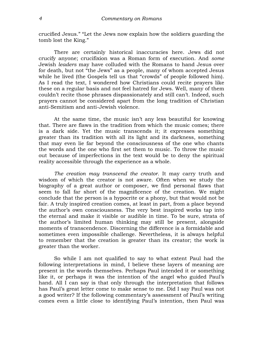crucified Jesus." "Let the Jews now explain how the soldiers guarding the tomb lost the King."

There are certainly historical inaccuracies here. Jews did not crucify anyone; crucifixion was a Roman form of execution. And *some* Jewish *leaders* may have colluded with the Romans to hand Jesus over for death, but not "the Jews" as a people, many of whom accepted Jesus while he lived (the Gospels tell us that "crowds" of people followed him). As I read the text, I wondered how Christians could recite prayers like these on a regular basis and not feel hatred for Jews. Well, many of them couldn't recite those phrases dispassionately and still can't. Indeed, such prayers cannot be considered apart from the long tradition of Christian anti-Semitism and anti-Jewish violence.

At the same time, the music isn't any less beautiful for knowing that. There are flaws in the tradition from which the music comes; there is a dark side. Yet the music transcends it; it expresses something greater than its tradition with all its light and its darkness, something that may even lie far beyond the consciousness of the one who chants the words and the one who first set them to music. To throw the music out because of imperfections in the text would be to deny the spiritual reality accessible through the experience as a whole.

*The creation may transcend the creator.* It may carry truth and wisdom of which the creator is not aware. Often when we study the biography of a great author or composer, we find personal flaws that seem to fall far short of the magnificence of the creation. We might conclude that the person is a hypocrite or a phony, but that would not be fair. A truly inspired creation comes, at least in part, from a place beyond the author's own consciousness. The very best inspired works tap into the eternal and make it visible or audible in time. To be sure, strata of the author's limited human thinking may still be present, alongside moments of transcendence. Discerning the difference is a formidable and sometimes even impossible challenge. Nevertheless, it is always helpful to remember that the creation is greater than its creator; the work is greater than the worker.

So while I am not qualified to say to what extent Paul had the following interpretations in mind, I believe these layers of meaning are present in the words themselves. Perhaps Paul intended it or something like it, or perhaps it was the intention of the angel who guided Paul's hand. All I can say is that only through the interpretation that follows has Paul's great letter come to make sense to me. Did I say Paul was not a good writer? If the following commentary's assessment of Paul's writing comes even a little close to identifying Paul's intention, then Paul was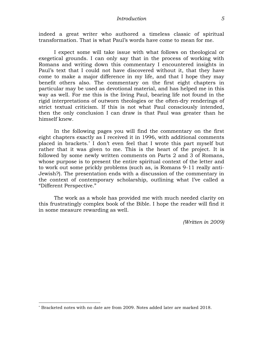#### *Introduction 5*

indeed a great writer who authored a timeless classic of spiritual transformation. That is what Paul's words have come to mean for me.

I expect some will take issue with what follows on theological or exegetical grounds. I can only say that in the process of working with Romans and writing down this commentary I encountered insights in Paul's text that I could not have discovered without it, that they have come to make a major difference in my life, and that I hope they may benefit others also. The commentary on the first eight chapters in particular may be used as devotional material, and has helped me in this way as well. For me this is the living Paul, bearing life not found in the rigid interpretations of outworn theologies or the often-dry renderings of strict textual criticism. If this is not what Paul consciously intended, then the only conclusion I can draw is that Paul was greater than he himself knew.

In the following pages you will find the commentary on the first eight chapters exactly as I received it in 1996, with additional comments placed in brackets.\* I don't even feel that I wrote this part myself but rather that it was given to me. This is the heart of the project. It is followed by some newly written comments on Parts 2 and 3 of Romans, whose purpose is to present the entire spiritual context of the letter and to work out some prickly problems (such as, is Romans 9-11 really anti-Jewish?). The presentation ends with a discussion of the commentary in the context of contemporary scholarship, outlining what I've called a "Different Perspective."

The work as a whole has provided me with much needed clarity on this frustratingly complex book of the Bible. I hope the reader will find it in some measure rewarding as well.

*(Written in 2009)*

 $\overline{a}$ 

<sup>\*</sup> Bracketed notes with no date are from 2009. Notes added later are marked 2018.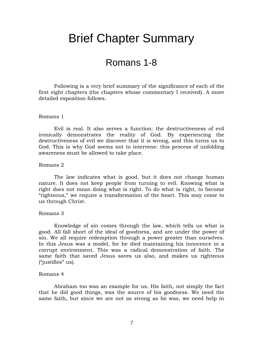## Brief Chapter Summary

### Romans 1-8

Following is a very brief summary of the significance of each of the first eight chapters (the chapters whose commentary I received). A more detailed exposition follows.

#### Romans 1

Evil is real. It also serves a function: the destructiveness of evil ironically demonstrates the reality of God. By experiencing the destructiveness of evil we discover that it is wrong, and this turns us to God. This is why God seems not to intervene: this process of unfolding awareness must be allowed to take place.

#### Romans 2

The law indicates what is good, but it does not change human nature. It does not keep people from turning to evil. Knowing what is right does not mean doing what is right. To do what is right, to become "righteous," we require a transformation of the heart. This may come to us through Christ.

#### Romans 3

Knowledge of sin comes through the law, which tells us what is good. All fall short of the ideal of goodness, and are under the power of sin. We all require redemption through a power greater than ourselves. In this Jesus was a model, for he died maintaining his innocence in a corrupt environment. This was a radical demonstration of faith. The same faith that saved Jesus saves us also, and makes us righteous ("justifies" us).

#### Romans 4

Abraham too was an example for us. His faith, not simply the fact that he did good things, was the source of his goodness. We need the same faith, but since we are not as strong as he was, we need help in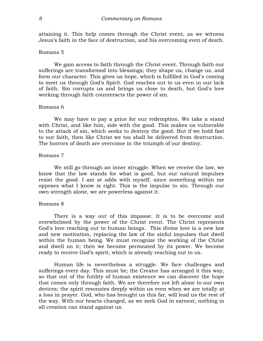attaining it. This help comes through the Christ event, as we witness Jesus's faith in the face of destruction, and his overcoming even of death.

#### Romans 5

We gain access to faith through the Christ event. Through faith our sufferings are transformed into blessings; they shape us, change us, and form our character. This gives us hope, which is fulfilled in God's coming to meet us through God's Spirit. God reaches out to us even in our lack of faith. Sin corrupts us and brings us close to death, but God's love working through faith counteracts the power of sin.

#### Romans 6

We may have to pay a price for our redemption. We take a stand with Christ, and like him, side with the good. This makes us vulnerable to the attack of sin, which seeks to destroy the good. But if we hold fast to our faith, then like Christ we too shall be delivered from destruction. The horrors of death are overcome in the triumph of our destiny.

#### Romans 7

We still go through an inner struggle. When we receive the law, we know that the law stands for what is good, but our natural impulses resist the good. I am at odds with myself, since something within me opposes what I know is right. This is the impulse to sin. Through our own strength alone, we are powerless against it.

#### Romans 8

There is a way out of this impasse. It is to be overcome and overwhelmed by the power of the Christ event. The Christ represents God's love reaching out to human beings. This divine love is a new law and new motivation, replacing the law of the sinful impulses that dwell within the human being. We must recognize the working of the Christ and dwell on it; then we become permeated by its power. We become ready to receive God's spirit, which is already reaching out to us.

Human life is nevertheless a struggle. We face challenges and sufferings every day. This must be; the Creator has arranged it this way, so that out of the futility of human existence we can discover the hope that comes only through faith. We are therefore not left alone to our own devices; the spirit resonates deeply within us even when we are totally at a loss in prayer. God, who has brought us this far, will lead us the rest of the way. With our hearts changed, as we seek God in earnest, nothing in all creation can stand against us.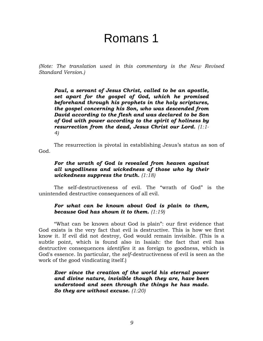### Romans 1

*(Note: The translation used in this commentary is the New Revised Standard Version.)*

*Paul, a servant of Jesus Christ, called to be an apostle, set apart for the gospel of God, which he promised beforehand through his prophets in the holy scriptures, the gospel concerning his Son, who was descended from David according to the flesh and was declared to be Son of God with power according to the spirit of holiness by resurrection from the dead, Jesus Christ our Lord. (1:1- 4)*

The resurrection is pivotal in establishing Jesus's status as son of God.

#### *For the wrath of God is revealed from heaven against all ungodliness and wickedness of those who by their wickedness suppress the truth. (1:18)*

The self-destructiveness of evil. The "wrath of God" is the unintended destructive consequences of all evil.

#### *For what can be known about God is plain to them, because God has shown it to them. (1:19)*

"What can be known about God is plain": our first evidence that God exists is the very fact that evil is destructive. This is how we first know it. If evil did not destroy, God would remain invisible. (This is a subtle point, which is found also in Isaiah: the fact that evil has destructive consequences *identifies* it as foreign to goodness, which is God's essence. In particular, the *self*-destructiveness of evil is seen as the work of the good vindicating itself.)

*Ever since the creation of the world his eternal power and divine nature, invisible though they are, have been understood and seen through the things he has made. So they are without excuse. (1:20)*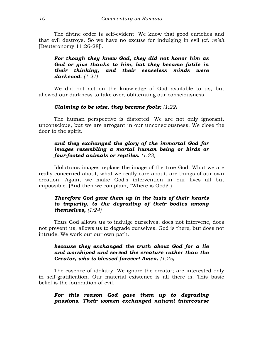The divine order is self-evident. We know that good enriches and that evil destroys. So we have no excuse for indulging in evil (cf. *re'eh* [Deuteronomy 11:26-28]).

#### *For though they knew God, they did not honor him as God or give thanks to him, but they became futile in their thinking, and their senseless minds were darkened. (1:21)*

We did not act on the knowledge of God available to us, but allowed our darkness to take over, obliterating our consciousness.

#### *Claiming to be wise, they became fools; (1:22)*

The human perspective is distorted. We are not only ignorant, unconscious, but we are arrogant in our unconsciousness. We close the door to the spirit.

#### *and they exchanged the glory of the immortal God for images resembling a mortal human being or birds or four-footed animals or reptiles. (1:23)*

Idolatrous images replace the image of the true God. What we are really concerned about, what we really care about, are things of our own creation. Again, we make God's intervention in our lives all but impossible. (And then we complain, "Where is God?")

#### *Therefore God gave them up in the lusts of their hearts to impurity, to the degrading of their bodies among themselves, (1:24)*

Thus God allows us to indulge ourselves, does not intervene, does not prevent us, allows us to degrade ourselves. God is there, but does not intrude. We work out our own path.

#### *because they exchanged the truth about God for a lie and worshiped and served the creature rather than the Creator, who is blessed forever! Amen. (1:25)*

The essence of idolatry. We ignore the creator; are interested only in self-gratification. Our material existence is all there is. This basic belief is the foundation of evil.

*For this reason God gave them up to degrading passions. Their women exchanged natural intercourse*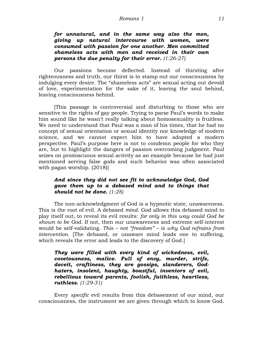#### *Romans 1 11*

*for unnatural, and in the same way also the men, giving up natural intercourse with women, were consumed with passion for one another. Men committed shameless acts with men and received in their own persons the due penalty for their error. (1:26-27)*

Our passions become deflected. Instead of thirsting after righteousness and truth, our thirst is to stamp out our consciousness by indulging every desire. The "shameless acts" are sexual acting out devoid of love, experimentation for the sake of it, leaving the soul behind, leaving consciousness behind.

[This passage is controversial and disturbing to those who are sensitive to the rights of gay people. Trying to parse Paul's words to make him sound like he wasn't really talking about homosexuality is fruitless. We need to understand that Paul was a man of his times, that he had no concept of sexual orientation or sexual identity nor knowledge of modern science, and we cannot expect him to have adopted a modern perspective. Paul's purpose here is not to condemn people for who they are, but to highlight the dangers of passion overcoming judgment. Paul seizes on promiscuous sexual activity as an example because he had just mentioned serving false gods and such behavior was often associated with pagan worship. (2018)]

#### *And since they did not see fit to acknowledge God, God gave them up to a debased mind and to things that should not be done. (1:28)*

The non-acknowledgment of God is a hypnotic state, unawareness. This is the root of evil. A debased *mind.* God allows this debased mind to play itself out, to reveal its evil results: *for only in this way could God be shown to be God.* If not, then our unawareness and extreme self-interest would be self-validating. *This – not "freedom" – is why God refrains from intervention.* [The debased, or unaware mind leads one to suffering, which reveals the error and leads to the discovery of God.]

*They were filled with every kind of wickedness, evil, covetousness, malice. Full of envy, murder, strife, deceit, craftiness, they are gossips, slanderers, Godhaters, insolent, haughty, boastful, inventors of evil, rebellious toward parents, foolish, faithless, heartless, ruthless. (1:29-31)*

Every *specific* evil results from this debasement of our mind, our consciousness, the instrument we are given through which to know God.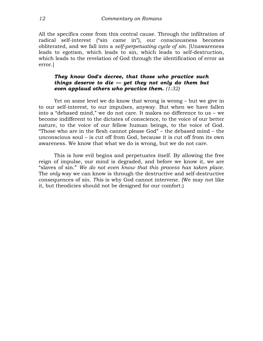All the specifics come from this central cause. Through the infiltration of radical self-interest ("sin came in"), our consciousness becomes obliterated, and we fall into a *self-perpetuating cycle of sin.* [Unawareness leads to egotism, which leads to sin, which leads to self-destruction, which leads to the revelation of God through the identification of error as error.]

#### *They know God's decree, that those who practice such things deserve to die — yet they not only do them but even applaud others who practice them. (1:32)*

Yet on some level we do know that wrong is wrong – but we give in to our self-interest, to our impulses, anyway. But when we have fallen into a "debased mind," we do not care. It makes no difference to us – we become indifferent to the dictates of conscience, to the voice of our better nature, to the voice of our fellow human beings, to the voice of God. "Those who are in the flesh cannot please God" – the debased mind – the unconscious soul – is cut off from God, because it is cut off from its own awareness. We know that what we do is wrong, but we do not care.

This is how evil begins and perpetuates itself. By allowing the free reign of impulse, our mind is degraded, and before we know it, we are "slaves of sin." *We do not even know that this process has taken place.* The *only* way we can know is through the destructive and self-destructive consequences of sin. *This* is why God cannot intervene. (We may not like it, but theodicies should not be designed for our comfort.)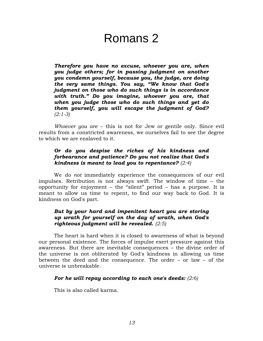## Romans 2

*Therefore you have no excuse, whoever you are, when you judge others; for in passing judgment on another you condemn yourself, because you, the judge, are doing the very same things. You say, "We know that God's judgment on those who do such things is in accordance with truth." Do you imagine, whoever you are, that when you judge those who do such things and yet do them yourself, you will escape the judgment of God? (2:1-3)*

*Whoever you are* – this is not for Jew or gentile only. Since evil results from a constricted awareness, we ourselves fail to see the degree to which we are enslaved to it.

#### *Or do you despise the riches of his kindness and forbearance and patience? Do you not realize that God's kindness is meant to lead you to repentance? (2:4)*

We *do not* immediately experience the consequences of our evil impulses. Retribution is not always swift. The window of time – the opportunity for enjoyment – the "silent" period – has a purpose. It is meant to allow us time to repent, to find our way back to God. It is kindness on God's part.

#### *But by your hard and impenitent heart you are storing up wrath for yourself on the day of wrath, when God's righteous judgment will be revealed. (2:5)*

The heart is hard when it is closed to awareness of what is beyond our personal existence. The forces of impulse exert pressure against this awareness. But there are inevitable consequences – the divine order of the universe is not obliterated by God's kindness in allowing us time between the deed and the consequence. The order – or law – of the universe is unbreakable.

#### *For he will repay according to each one's deeds: (2:6)*

This is also called karma.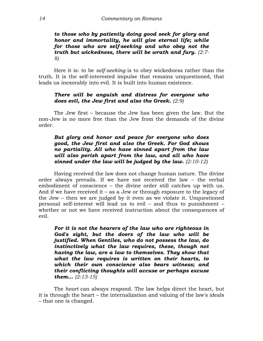*to those who by patiently doing good seek for glory and honor and immortality, he will give eternal life; while for those who are self-seeking and who obey not the truth but wickedness, there will be wrath and fury. (2:7- 8)*

Here it is: to be *self-seeking* is to obey wickedness rather than the truth. It is the self-interested impulse that remains unquestioned, that leads us inexorably into evil. It is built into human existence.

#### *There will be anguish and distress for everyone who does evil, the Jew first and also the Greek. (2:9)*

The Jew first – because the Jew has been given the law. But the non-Jew is no more free than the Jew from the demands of the divine order.

#### *But glory and honor and peace for everyone who does good, the Jew first and also the Greek. For God shows no partiality. All who have sinned apart from the law will also perish apart from the law, and all who have sinned under the law will be judged by the law. (2:10-12)*

Having received the law does not change human nature. The divine order always prevails. If we have not received the law – the verbal embodiment of conscience – the divine order still catches up with us. And if we have received it – as a Jew or through exposure to the legacy of the Jew – then we are judged by it even as we violate it. Unquestioned personal self-interest will lead us to evil – and thus to punishment – whether or not we have received instruction about the consequences of evil.

*For it is not the hearers of the law who are righteous in God's sight, but the doers of the law who will be justified. When Gentiles, who do not possess the law, do instinctively what the law requires, these, though not having the law, are a law to themselves. They show that what the law requires is written on their hearts, to which their own conscience also bears witness; and their conflicting thoughts will accuse or perhaps excuse them... (2:13-15)*

The *heart* can always respond. The law helps direct the heart, but it is through the heart – the internalization and valuing of the law's ideals – that one is changed.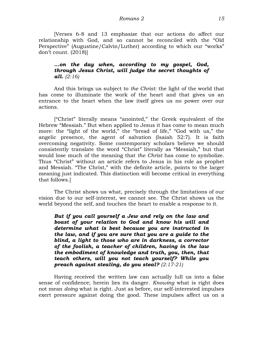[Verses 6-8 and 13 emphasize that our actions do affect our relationship with God, and so cannot be reconciled with the "Old Perspective" (Augustine/Calvin/Luther) according to which our "works" don't count. (2018)]

#### *...on the day when, according to my gospel, God, through Jesus Christ, will judge the secret thoughts of all. (2:16)*

And this brings us subject to *the Christ:* the light of the world that has come to illuminate the work of the heart and that gives us an entrance to the heart when the law itself gives us no power over our actions.

["Christ" literally means "anointed," the Greek equivalent of the Hebrew "Messiah." But when applied to Jesus it has come to mean much more: the "light of the world," the "bread of life," "God with us," the angelic presence, the agent of salvation (Isaiah 52:7). It is faith overcoming negativity. Some contemporary scholars believe we should consistently translate the word "Christ" literally as "Messiah," but that would lose much of the meaning that *the Christ* has come to symbolize. Thus "Christ" without an article refers to Jesus in his role as prophet and Messiah. "The Christ," with the definite article, points to the larger meaning just indicated. This distinction will become critical in everything that follows.]

The Christ shows us what, precisely through the limitations of our vision due to our self-interest, we cannot see. The Christ shows us the world beyond the self, and touches the heart to enable a response to it.

*But if you call yourself a Jew and rely on the law and boast of your relation to God and know his will and determine what is best because you are instructed in the law, and if you are sure that you are a guide to the blind, a light to those who are in darkness, a corrector of the foolish, a teacher of children, having in the law the embodiment of knowledge and truth, you, then, that teach others, will you not teach yourself? While you preach against stealing, do you steal? (2:17-21)*

Having received the written law can actually lull us into a false sense of confidence; herein lies its danger. *Knowing* what is right does not mean *doing* what is right. Just as before, our self-interested impulses exert pressure against doing the good. These impulses affect us on a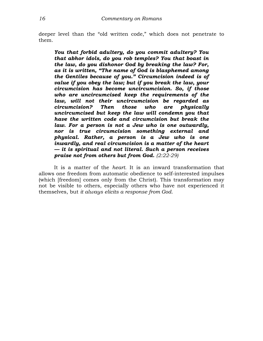deeper level than the "old written code," which does not penetrate to them.

*You that forbid adultery, do you commit adultery? You that abhor idols, do you rob temples? You that boast in the law, do you dishonor God by breaking the law? For, as it is written, "The name of God is blasphemed among the Gentiles because of you." Circumcision indeed is of value if you obey the law; but if you break the law, your circumcision has become uncircumcision. So, if those who are uncircumcised keep the requirements of the law, will not their uncircumcision be regarded as circumcision? Then those who are physically uncircumcised but keep the law will condemn you that have the written code and circumcision but break the law. For a person is not a Jew who is one outwardly, nor is true circumcision something external and physical. Rather, a person is a Jew who is one inwardly, and real circumcision is a matter of the heart — it is spiritual and not literal. Such a person receives praise not from others but from God. (2:22-29)*

It is a matter of the *heart.* It is an inward transformation that allows one freedom from automatic obedience to self-interested impulses (which [freedom] comes only from the Christ). This transformation may not be visible to others, especially others who have not experienced it themselves, but *it always elicits a response from God.*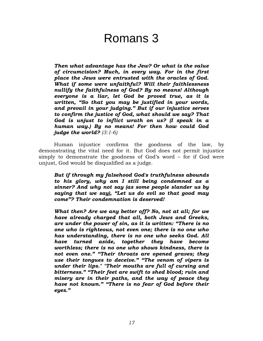## Romans 3

*Then what advantage has the Jew? Or what is the value of circumcision? Much, in every way. For in the first place the Jews were entrusted with the oracles of God. What if some were unfaithful? Will their faithlessness nullify the faithfulness of God? By no means! Although everyone is a liar, let God be proved true, as it is written, "So that you may be justified in your words, and prevail in your judging." But if our injustice serves to confirm the justice of God, what should we say? That God is unjust to inflict wrath on us? (I speak in a human way.) By no means! For then how could God judge the world? (3:1-6)*

Human injustice confirms the goodness of the law, by demonstrating the vital need for it. But God does not permit injustice simply to demonstrate the goodness of God's word – for if God were unjust, God would be disqualified as a judge.

*But if through my falsehood God's truthfulness abounds to his glory, why am I still being condemned as a sinner? And why not say (as some people slander us by saying that we say), "Let us do evil so that good may come"? Their condemnation is deserved!*

*What then? Are we any better off? No, not at all; for we have already charged that all, both Jews and Greeks, are under the power of sin, as it is written: "There is no one who is righteous, not even one; there is no one who has understanding, there is no one who seeks God. All have turned aside, together they have become worthless; there is no one who shows kindness, there is not even one." "Their throats are opened graves; they use their tongues to deceive." "The venom of vipers is under their lips." "Their mouths are full of cursing and bitterness." "Their feet are swift to shed blood; ruin and misery are in their paths, and the way of peace they have not known." "There is no fear of God before their eyes."*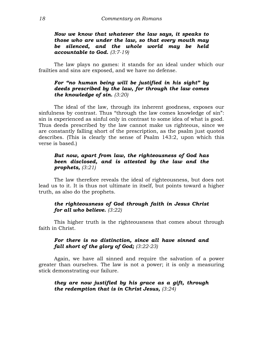*Now we know that whatever the law says, it speaks to those who are under the law, so that every mouth may be silenced, and the whole world may be held accountable to God. (3:7-19)*

The law plays no games: it stands for an ideal under which our frailties and sins are exposed, and we have no defense.

#### *For "no human being will be justified in his sight" by deeds prescribed by the law, for through the law comes the knowledge of sin. (3:20)*

The ideal of the law, through its inherent goodness, exposes our sinfulness by contrast. Thus "through the law comes knowledge of sin": sin is experienced as sinful only in contrast to some idea of what is good. Thus deeds prescribed by the law cannot make us righteous, since we are constantly falling short of the prescription, as the psalm just quoted describes. (This is clearly the sense of Psalm 143:2, upon which this verse is based.)

#### *But now, apart from law, the righteousness of God has been disclosed, and is attested by the law and the prophets, (3:21)*

The law therefore reveals the ideal of righteousness, but does not lead us to it. It is thus not ultimate in itself, but points toward a higher truth, as also do the prophets.

#### *the righteousness of God through faith in Jesus Christ for all who believe. (3:22)*

This higher truth is the righteousness that comes about through faith in Christ.

#### *For there is no distinction, since all have sinned and fall short of the glory of God; (3:22-23)*

Again, we have all sinned and require the salvation of a power greater than ourselves. The law is not a power; it is only a measuring stick demonstrating our failure.

#### *they are now justified by his grace as a gift, through the redemption that is in Christ Jesus, (3:24)*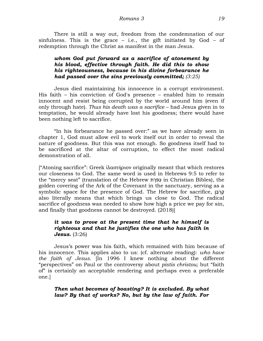#### *Romans 3 19*

There is still a way out, freedom from the condemnation of our sinfulness. This is the grace  $-$  i.e., the gift initiated by God  $-$  of redemption through the Christ as manifest in the man Jesus.

#### *whom God put forward as a sacrifice of atonement by his blood, effective through faith. He did this to show his righteousness, because in his divine forbearance he had passed over the sins previously committed; (3:25)*

Jesus died maintaining his innocence in a corrupt environment. His faith – his conviction of God's presence – enabled him to remain innocent and resist being corrupted by the world around him (even if only through hate). *Thus his death was a sacrifice* – had Jesus given in to temptation, he would already have lost his goodness; there would have been nothing left to sacrifice.

"In his forbearance he passed over:" as we have already seen in chapter 1, God must allow evil to work itself out in order to reveal the nature of goodness. But this was not enough. So goodness itself had to be sacrificed at the altar of corruption, to effect the most radical demonstration of all.

["Atoning sacrifice": Greek ἱλαστήριον originally meant that which restores our closeness to God. The same word is used in Hebrews 9:5 to refer to the "mercy seat" (translation of the Hebrew ת ֶרֹּפַּכ in Christian Bibles), the golden covering of the Ark of the Covenant in the sanctuary, serving as a symbolic space for the presence of God. The Hebrew for sacrifice,  $\mu$ also literally means that which brings us close to God. The radical sacrifice of goodness was needed to show how high a price we pay for sin, and finally that goodness cannot be destroyed. (2018)]

#### *it was to prove at the present time that he himself is righteous and that he justifies the one who has faith in Jesus.* (3:26)

Jesus's power was his faith, which remained with him because of his innocence. This applies also to us: (cf. alternate reading): *who have the faith of Jesus.* [In 1996 I knew nothing about the different "perspectives" on Paul or the controversy about *pistis christou;* but "faith of" is certainly an acceptable rendering and perhaps even a preferable one.]

*Then what becomes of boasting? It is excluded. By what law? By that of works? No, but by the law of faith. For*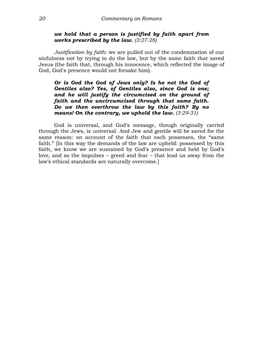#### *we hold that a person is justified by faith apart from works prescribed by the law. (3:27-28)*

*Justification by faith:* we are pulled out of the condemnation of our sinfulness not by trying to do the law, but by the same faith that saved Jesus (the faith that, through his innocence, which reflected the image of God, God's presence would not forsake him).

#### *Or is God the God of Jews only? Is he not the God of Gentiles also? Yes, of Gentiles also, since God is one; and he will justify the circumcised on the ground of faith and the uncircumcised through that same faith. Do we then overthrow the law by this faith? By no means! On the contrary, we uphold the law. (3:29-31)*

God is universal, and God's message, though originally carried through the Jews, is universal. And Jew and gentile will be saved for the same reason: on account of the faith that each possesses, the "same faith." [In this way the demands of the law are upheld: possessed by this faith, we know we are sustained by God's presence and held by God's love, and so the impulses – greed and fear – that lead us away from the law's ethical standards are naturally overcome.]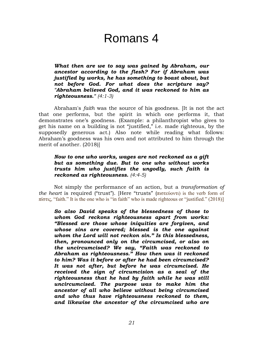### Romans 4

*What then are we to say was gained by Abraham, our ancestor according to the flesh? For if Abraham was justified by works, he has something to boast about, but not before God. For what does the scripture say? "Abraham believed God, and it was reckoned to him as righteousness." (4:1-3)*

Abraham's *faith* was the source of his goodness. [It is not the act that one performs, but the spirit in which one performs it, that demonstrates one's goodness. (Example: a philanthropist who gives to get his name on a building is not "justified," i.e. made righteous, by the supposedly generous act.) Also note while reading what follows: Abraham's goodness was his own and not attributed to him through the merit of another. (2018)]

#### *Now to one who works, wages are not reckoned as a gift but as something due. But to one who without works trusts him who justifies the ungodly, such faith is reckoned as righteousness. (4:4-5)*

Not simply the performance of an action, but a *transformation of the heart* is required ("trust"). [Here "trusts" (πιστεύοντι) is the verb form of πίστις, "faith." It is the one who is "in faith" who is made righteous or "justified." (2018)]

*So also David speaks of the blessedness of those to whom God reckons righteousness apart from works: "Blessed are those whose iniquities are forgiven, and whose sins are covered; blessed is the one against whom the Lord will not reckon sin." Is this blessedness, then, pronounced only on the circumcised, or also on the uncircumcised? We say, "Faith was reckoned to Abraham as righteousness." How then was it reckoned to him? Was it before or after he had been circumcised? It was not after, but before he was circumcised. He received the sign of circumcision as a seal of the righteousness that he had by faith while he was still uncircumcised. The purpose was to make him the ancestor of all who believe without being circumcised and who thus have righteousness reckoned to them, and likewise the ancestor of the circumcised who are*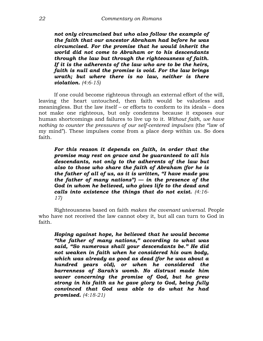*not only circumcised but who also follow the example of the faith that our ancestor Abraham had before he was circumcised. For the promise that he would inherit the world did not come to Abraham or to his descendants through the law but through the righteousness of faith. If it is the adherents of the law who are to be the heirs, faith is null and the promise is void. For the law brings wrath; but where there is no law, neither is there violation. (4:6-15)*

If one could become righteous through an external effort of the will, leaving the heart untouched, then faith would be valueless and meaningless. But the law itself – or efforts to conform to its ideals – does not make one righteous, but only condemns because it exposes our human shortcomings and failures to live up to it. *Without faith, we have nothing to counter the pressures of our self-centered impulses* (the "law of my mind"). These impulses come from a place deep within us. So does faith.

*For this reason it depends on faith, in order that the promise may rest on grace and be guaranteed to all his descendants, not only to the adherents of the law but also to those who share the faith of Abraham (for he is the father of all of us, as it is written, "I have made you the father of many nations") — in the presence of the God in whom he believed, who gives life to the dead and calls into existence the things that do not exist. (4:16- 17)* 

Righteousness based on faith *makes the covenant universal.* People who have not received the law cannot obey it, but all can turn to God in faith.

*Hoping against hope, he believed that he would become "the father of many nations," according to what was said, "So numerous shall your descendants be." He did not weaken in faith when he considered his own body, which was already as good as dead (for he was about a hundred years old), or when he considered the barrenness of Sarah's womb. No distrust made him waver concerning the promise of God, but he grew strong in his faith as he gave glory to God, being fully convinced that God was able to do what he had promised. (4:18-21)*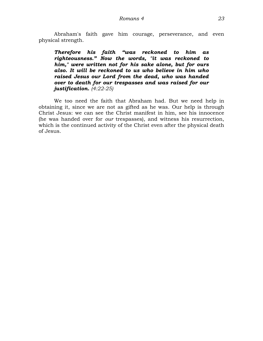Abraham's faith gave him courage, perseverance, and even physical strength.

*Therefore his faith "was reckoned to him as righteousness." Now the words, "it was reckoned to him," were written not for his sake alone, but for ours also. It will be reckoned to us who believe in him who raised Jesus our Lord from the dead, who was handed over to death for our trespasses and was raised for our justification. (4:22-25)*

We too need the faith that Abraham had. But we need help in obtaining it, since we are not as gifted as he was. Our help is through Christ Jesus: we can see the Christ manifest in him, see his innocence (he was handed over for *our* trespasses), and witness his resurrection, which is the continued activity of the Christ even after the physical death of Jesus.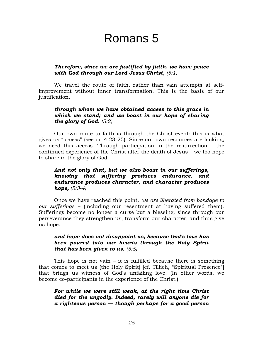### Romans 5

#### *Therefore, since we are justified by faith, we have peace with God through our Lord Jesus Christ, (5:1)*

We travel the route of faith, rather than vain attempts at selfimprovement without inner transformation. This is the basis of our justification.

#### *through whom we have obtained access to this grace in which we stand; and we boast in our hope of sharing the glory of God. (5:2)*

Our own route to faith is through the Christ event: this is what gives us "access" (see on 4:23-25). Since our own resources are lacking, we need this access. Through participation in the resurrection – the continued experience of the Christ after the death of Jesus – we too hope to share in the glory of God.

#### *And not only that, but we also boast in our sufferings, knowing that suffering produces endurance, and endurance produces character, and character produces hope, (5:3-4)*

Once we have reached this point, *we are liberated from bondage to our sufferings* – (including our resentment at having suffered them). Sufferings become no longer a curse but a blessing, since through our perseverance they strengthen us, transform our character, and thus give us hope.

#### *and hope does not disappoint us, because God's love has been poured into our hearts through the Holy Spirit that has been given to us. (5:5)*

This hope is not vain – it is fulfilled because there is something that comes to meet us (the Holy Spirit) [cf. Tillich, "Spiritual Presence"] that brings us witness of God's unfailing love. (In other words, we become co-participants in the experience of the Christ.)

*For while we were still weak, at the right time Christ died for the ungodly. Indeed, rarely will anyone die for a righteous person — though perhaps for a good person*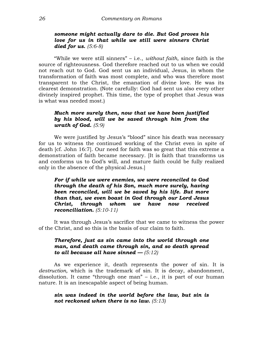#### *someone might actually dare to die. But God proves his love for us in that while we still were sinners Christ died for us. (5:6-8)*

"While we were still sinners" – i.e., *without faith,* since faith is the source of righteousness. God therefore reached out to us when we could not reach out to God. God sent us an individual, Jesus, in whom the transformation of faith was most complete, and who was therefore most transparent to the Christ, the emanation of divine love. He was its clearest demonstration. (Note carefully: God had sent us also every other divinely inspired prophet. This time, the type of prophet that Jesus was is what was needed most.)

#### *Much more surely then, now that we have been justified by his blood, will we be saved through him from the wrath of God. (5:9)*

We were justified by Jesus's "blood" since his death was necessary for us to witness the continued working of the Christ even in spite of death [cf. John 16:7]. Our need for faith was so great that this extreme a demonstration of faith became necessary. [It is faith that transforms us and conforms us to God's will, and mature faith could be fully realized only in the absence of the physical Jesus.]

*For if while we were enemies, we were reconciled to God through the death of his Son, much more surely, having been reconciled, will we be saved by his life. But more than that, we even boast in God through our Lord Jesus Christ, through whom we have now received reconciliation. (5:10-11)*

It was through Jesus's sacrifice that we came to witness the power of the Christ, and so this is the basis of our claim to faith.

#### *Therefore, just as sin came into the world through one man, and death came through sin, and so death spread to all because all have sinned — (5:12)*

As we experience it, death represents the power of sin. It is *destruction,* which is the trademark of sin. It is decay, abandonment, dissolution. It came "through one man" – i.e., it is part of our human nature. It is an inescapable aspect of being human.

*sin was indeed in the world before the law, but sin is not reckoned when there is no law. (5:13)*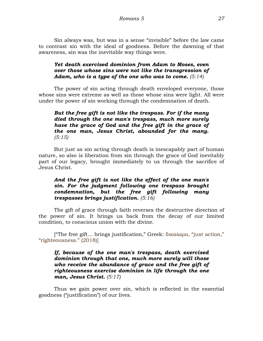Sin always was, but was in a sense "invisible" before the law came to contrast sin with the ideal of goodness. Before the dawning of that awareness, sin was the inevitable way things were.

#### *Yet death exercised dominion from Adam to Moses, even over those whose sins were not like the transgression of Adam, who is a type of the one who was to come. (5:14)*

The power of sin acting through death enveloped everyone, those whose sins were extreme as well as those whose sins were light. All were under the power of sin working through the condemnation of death.

#### *But the free gift is not like the trespass. For if the many died through the one man's trespass, much more surely have the grace of God and the free gift in the grace of the one man, Jesus Christ, abounded for the many. (5:15)*

But just as sin acting through death is inescapably part of human nature, so also is liberation from sin through the grace of God inevitably part of our legacy, brought immediately to us through the sacrifice of Jesus Christ.

#### *And the free gift is not like the effect of the one man's sin. For the judgment following one trespass brought condemnation, but the free gift following many trespasses brings justification. (5:16)*

The gift of grace through faith reverses the destructive direction of the power of sin. It brings us back from the decay of our limited condition, to conscious union with the divine.

["The free gift… brings justification," Greek: δικαίωμα, "just action," "righteousness." (2018)]

#### *If, because of the one man's trespass, death exercised dominion through that one, much more surely will those who receive the abundance of grace and the free gift of righteousness exercise dominion in life through the one man, Jesus Christ. (5:17)*

Thus we gain power over sin, which is reflected in the essential goodness ("justification") of our lives.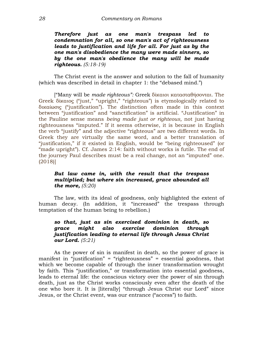*Therefore just as one man's trespass led to condemnation for all, so one man's act of righteousness leads to justification and life for all. For just as by the one man's disobedience the many were made sinners, so by the one man's obedience the many will be made righteous. (5:18-19)*

The Christ event is the answer and solution to the fall of humanity (which was described in detail in chapter 1: the "debased mind.")

["Many will be *made righteous":* Greek δίκαιοι κατασταθήσονται. The Greek δίκαιος ("just," "upright," "righteous") is etymologically related to δικαίωσις ("justification"). The distinction often made in this context between "justification" and "sanctification" is artificial. "Justification" in the Pauline sense means *being made just or righteous,* not just having righteousness "imputed." If it seems otherwise, it is because in English the verb "justify" and the adjective "righteous" are two different words. In Greek they are virtually the same word, and a better translation of "justification," if it existed in English, would be "being righteoused" (or "made upright"). Cf. James 2:14: faith without works is futile. The end of the journey Paul describes must be a real change, not an "imputed" one. (2018)]

#### *But law came in, with the result that the trespass multiplied; but where sin increased, grace abounded all the more, (5:20)*

The law, with its ideal of goodness, only highlighted the extent of human decay. (In addition, it "increased" the trespass through temptation of the human being to rebellion.)

#### *so that, just as sin exercised dominion in death, so grace might also exercise dominion through justification leading to eternal life through Jesus Christ our Lord. (5:21)*

As the power of sin is manifest in death, so the power of grace is manifest in "justification" = "righteousness" = essential goodness, that which we become capable of through the inner transformation wrought by faith. This "justification," or transformation into essential goodness, leads to eternal life: the conscious victory over the power of sin through death, just as the Christ works consciously even after the death of the one who bore it. It is [literally] "through Jesus Christ our Lord" since Jesus, or the Christ event, was our entrance ("access") to faith.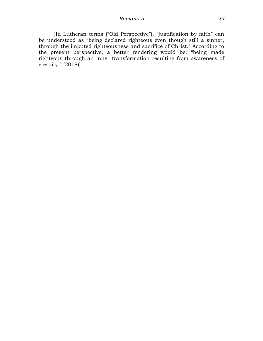[In Lutheran terms ("Old Perspective"), "justification by faith" can be understood as "being declared righteous even though still a sinner, through the imputed righteousness and sacrifice of Christ." According to the present perspective, a better rendering would be: "being made righteous through an inner transformation resulting from awareness of eternity." (2018)]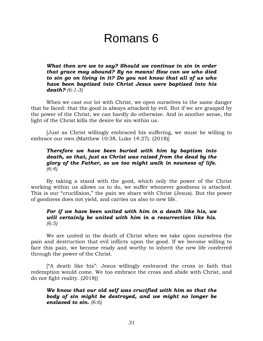### Romans 6

*What then are we to say? Should we continue in sin in order that grace may abound? By no means! How can we who died to sin go on living in it? Do you not know that all of us who have been baptized into Christ Jesus were baptized into his death? (6:1-3)*

When we cast our lot with Christ, we open ourselves to the same danger that he faced: that the good is always attacked by evil. But if we are grasped by the power of the Christ, we can hardly do otherwise. And in another sense, the light of the Christ kills the desire for sin within us.

[Just as Christ willingly embraced his suffering, we must be willing to embrace our own (Matthew 10:38, Luke 14:27). (2018)]

#### *Therefore we have been buried with him by baptism into death, so that, just as Christ was raised from the dead by the glory of the Father, so we too might walk in newness of life. (6:4)*

By taking a stand with the good, which only the power of the Christ working within us allows us to do, we suffer whenever goodness is attacked. This is our "crucifixion," the pain we share with Christ (Jesus). But the power of goodness does not yield, and carries us also to new life.

#### *For if we have been united with him in a death like his, we will certainly be united with him in a resurrection like his. (6:5)*

We are united in the death of Christ when we take upon ourselves the pain and destruction that evil inflicts upon the good. If we become willing to face this pain, we become ready and worthy to inherit the new life conferred through the power of the Christ.

["A death like his": Jesus willingly embraced the cross in faith that redemption would come. We too embrace the cross and abide with Christ, and do not fight reality. (2018)]

*We know that our old self was crucified with him so that the body of sin might be destroyed, and we might no longer be enslaved to sin. (6:6)*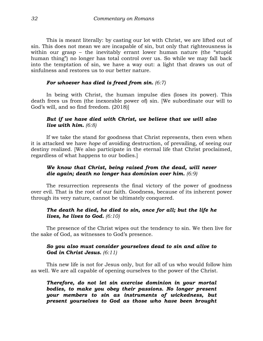This is meant literally: by casting our lot with Christ, we are lifted out of sin. This does not mean we are incapable of sin, but only that righteousness is within our grasp – the inevitably errant lower human nature (the "stupid human thing") no longer has total control over us. So while we may fall back into the temptation of sin, we have a way out: a light that draws us out of sinfulness and restores us to our better nature.

#### *For whoever has died is freed from sin. (6:7)*

In being with Christ, the human impulse dies (loses its power). This death frees us from (the inexorable power of) sin. [We subordinate our will to God's will, and so find freedom. (2018)]

#### *But if we have died with Christ, we believe that we will also live with him. (6:8)*

If we take the stand for goodness that Christ represents, then even when it is attacked we have *hope* of avoiding destruction, of prevailing, of seeing our destiny realized. [We also participate in the eternal life that Christ proclaimed, regardless of what happens to our bodies.]

#### *We know that Christ, being raised from the dead, will never die again; death no longer has dominion over him. (6:9)*

The resurrection represents the final victory of the power of goodness over evil. That is the root of our faith. Goodness, because of its inherent power through its very nature, cannot be ultimately conquered.

#### *The death he died, he died to sin, once for all; but the life he lives, he lives to God. (6:10)*

The presence of the Christ wipes out the tendency to sin. We then live for the sake of God, as witnesses to God's presence.

#### *So you also must consider yourselves dead to sin and alive to God in Christ Jesus. (6:11)*

This new life is not for Jesus only, but for all of us who would follow him as well. We are all capable of opening ourselves to the power of the Christ.

*Therefore, do not let sin exercise dominion in your mortal bodies, to make you obey their passions. No longer present your members to sin as instruments of wickedness, but present yourselves to God as those who have been brought*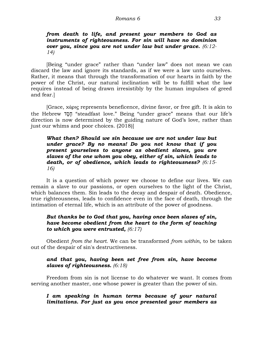*from death to life, and present your members to God as instruments of righteousness. For sin will have no dominion over you, since you are not under law but under grace. (6:12- 14)*

[Being "under grace" rather than "under law" does not mean we can discard the law and ignore its standards, as if we were a law unto ourselves. Rather, it means that through the transformation of our hearts in faith by the power of the Christ, our natural inclination will be to fulfill what the law requires instead of being drawn irresistibly by the human impulses of greed and fear.]

[Grace, χάρις represents beneficence, divine favor, or free gift. It is akin to the Hebrew הָםָה "steadfast love." Being "under grace" means that our life's direction is now determined by the guiding nature of God's love, rather than just our whims and poor choices. (2018)]

*What then? Should we sin because we are not under law but under grace? By no means! Do you not know that if you present yourselves to anyone as obedient slaves, you are slaves of the one whom you obey, either of sin, which leads to death, or of obedience, which leads to righteousness? (6:15- 16)*

It is a question of which power we choose to define our lives. We can remain a slave to our passions, or open ourselves to the light of the Christ, which balances them. Sin leads to the decay and despair of death. Obedience, true righteousness, leads to confidence even in the face of death, through the intimation of eternal life, which is an attribute of the power of goodness.

#### *But thanks be to God that you, having once been slaves of sin, have become obedient from the heart to the form of teaching to which you were entrusted, (6:17)*

Obedient *from the heart.* We can be transformed *from within,* to be taken out of the despair of sin's destructiveness.

### *and that you, having been set free from sin, have become slaves of righteousness. (6:18)*

Freedom from sin is not license to do whatever we want. It comes from serving another master, one whose power is greater than the power of sin.

*I am speaking in human terms because of your natural limitations. For just as you once presented your members as*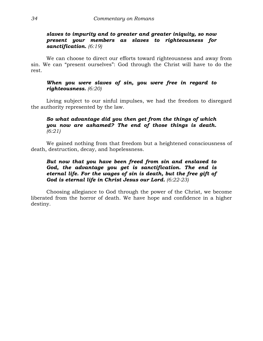#### *slaves to impurity and to greater and greater iniquity, so now present your members as slaves to righteousness for sanctification. (6:19)*

We can choose to direct our efforts toward righteousness and away from sin. We can "present ourselves": God through the Christ will have to do the rest.

### *When you were slaves of sin, you were free in regard to righteousness. (6:20)*

Living subject to our sinful impulses, we had the freedom to disregard the authority represented by the law.

### *So what advantage did you then get from the things of which you now are ashamed? The end of those things is death. (6:21)*

We gained nothing from that freedom but a heightened consciousness of death, destruction, decay, and hopelessness.

#### *But now that you have been freed from sin and enslaved to God, the advantage you get is sanctification. The end is eternal life. For the wages of sin is death, but the free gift of God is eternal life in Christ Jesus our Lord. (6:22-23)*

Choosing allegiance to God through the power of the Christ, we become liberated from the horror of death. We have hope and confidence in a higher destiny.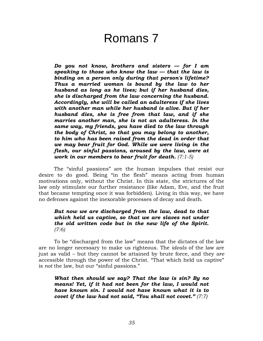# Romans 7

*Do you not know, brothers and sisters — for I am speaking to those who know the law — that the law is binding on a person only during that person's lifetime? Thus a married woman is bound by the law to her husband as long as he lives; but if her husband dies, she is discharged from the law concerning the husband. Accordingly, she will be called an adulteress if she lives with another man while her husband is alive. But if her husband dies, she is free from that law, and if she marries another man, she is not an adulteress. In the same way, my friends, you have died to the law through the body of Christ, so that you may belong to another, to him who has been raised from the dead in order that we may bear fruit for God. While we were living in the flesh, our sinful passions, aroused by the law, were at work in our members to bear fruit for death. (7:1-5)*

The "sinful passions" are the human impulses that resist our desire to do good. Being "in the flesh" means acting from human motivations only, without the Christ. In this state, the strictures of the law only stimulate our further resistance (like Adam, Eve, and the fruit that became tempting once it was forbidden). Living in this way, we have no defenses against the inexorable processes of decay and death.

#### *But now we are discharged from the law, dead to that which held us captive, so that we are slaves not under the old written code but in the new life of the Spirit. (7:6)*

To be "discharged from the law" means that the dictates of the law are no longer necessary to make us righteous. The *ideals* of the law are just as valid – but they cannot be attained by brute force, and they *are* accessible through the power of the Christ. "That which held us captive" is *not* the law, but our "sinful passions."

*What then should we say? That the law is sin? By no means! Yet, if it had not been for the law, I would not have known sin. I would not have known what it is to covet if the law had not said, "You shall not covet." (7:7)*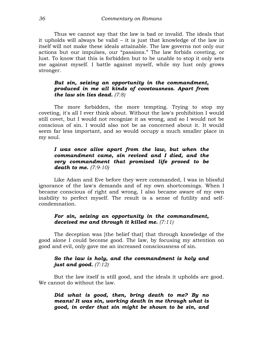Thus we cannot say that the law is bad or invalid. The ideals that it upholds will always be valid – it is just that knowledge of the law in itself will not make these ideals attainable. The law governs not only our actions but our impulses, our "passions." The law forbids coveting, or lust. To know that this is forbidden but to be unable to stop it only sets me against myself. I battle against myself, while my lust only grows stronger.

#### *But sin, seizing an opportunity in the commandment, produced in me all kinds of covetousness. Apart from the law sin lies dead. (7:8)*

The more forbidden, the more tempting. Trying to stop my coveting, it's all I ever think about. Without the law's prohibition I would still covet, but I would not recognize it as wrong, and so I would not be conscious of sin. I would also not be as concerned about it. It would seem far less important, and so would occupy a much smaller place in my soul.

#### *I was once alive apart from the law, but when the commandment came, sin revived and I died, and the very commandment that promised life proved to be death to me. (7:9-10)*

Like Adam and Eve before they were commanded, I was in blissful ignorance of the law's demands and of my own shortcomings. When I became conscious of right and wrong, I also became aware of my own inability to perfect myself. The result is a sense of futility and selfcondemnation.

#### *For sin, seizing an opportunity in the commandment, deceived me and through it killed me. (7:11)*

The deception was [the belief that] that through knowledge of the good alone I could become good. The law, by focusing my attention on good and evil, only gave me an increased consciousness of sin.

### *So the law is holy, and the commandment is holy and just and good. (7:12)*

But the law itself is still good, and the ideals it upholds are good. We cannot do without the law.

*Did what is good, then, bring death to me? By no means! It was sin, working death in me through what is good, in order that sin might be shown to be sin, and*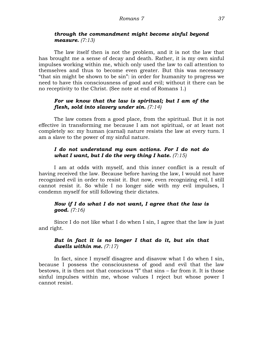#### *through the commandment might become sinful beyond measure. (7:13)*

The law itself then is not the problem, and it is not the law that has brought me a sense of decay and death. Rather, it is my own sinful impulses working within me, which only used the law to call attention to themselves and thus to become even greater. But this was necessary "that sin might be shown to be sin": in order for humanity to progress we need to have this consciousness of good and evil; without it there can be no receptivity to the Christ. (See note at end of Romans 1.)

#### *For we know that the law is spiritual; but I am of the flesh, sold into slavery under sin. (7:14)*

The law comes from a good place, from the spiritual. But it is not effective in transforming me because I am not spiritual, or at least not completely so: my human (carnal) nature resists the law at every turn. I am a slave to the power of my sinful nature.

#### *I do not understand my own actions. For I do not do what I want, but I do the very thing I hate. (7:15)*

I am at odds with myself, and this inner conflict is a result of having received the law. Because before having the law, I would not have recognized evil in order to resist it. But now, even recognizing evil, I still cannot resist it. So while I no longer side with my evil impulses, I condemn myself for still following their dictates.

#### *Now if I do what I do not want, I agree that the law is good. (7:16)*

Since I do not like what I do when I sin, I agree that the law is just and right.

#### *But in fact it is no longer I that do it, but sin that dwells within me. (7:17)*

In fact, since I myself disagree and disavow what I do when I sin, because I possess the consciousness of good and evil that the law bestows, it is then not that conscious "I" that sins – far from it. It is those sinful impulses within me, whose values I reject but whose power I cannot resist.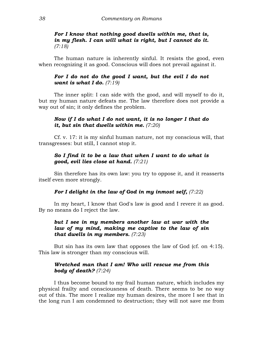#### *For I know that nothing good dwells within me, that is, in my flesh. I can will what is right, but I cannot do it. (7:18)*

The human nature is inherently sinful. It resists the good, even when recognizing it as good. Conscious will does not prevail against it.

#### *For I do not do the good I want, but the evil I do not want is what I do. (7:19)*

The inner split: I can side with the good, and will myself to do it, but my human nature defeats me. The law therefore does not provide a way out of sin; it only defines the problem.

### *Now if I do what I do not want, it is no longer I that do it, but sin that dwells within me. (7:20)*

Cf. v. 17: it is my sinful human nature, not my conscious will, that transgresses: but still, I cannot stop it.

#### *So I find it to be a law that when I want to do what is good, evil lies close at hand. (7:21)*

Sin therefore has its own law: you try to oppose it, and it reasserts itself even more strongly.

#### *For I delight in the law of God in my inmost self, (7:22)*

In my heart, I know that God's law is good and I revere it as good. By no means do I reject the law.

#### *but I see in my members another law at war with the law of my mind, making me captive to the law of sin that dwells in my members. (7:23)*

But sin has its own law that opposes the law of God (cf. on 4:15). This law is stronger than my conscious will.

#### *Wretched man that I am! Who will rescue me from this body of death? (7:24)*

I thus become bound to my frail human nature, which includes my physical frailty and consciousness of death. There seems to be no way out of this. The more I realize my human desires, the more I see that in the long run I am condemned to destruction; they will not save me from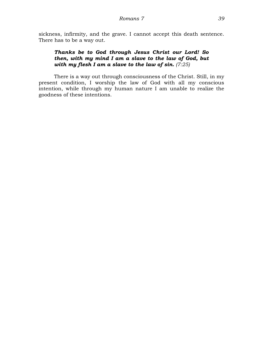sickness, infirmity, and the grave. I cannot accept this death sentence. There has to be a way out.

### *Thanks be to God through Jesus Christ our Lord! So then, with my mind I am a slave to the law of God, but with my flesh I am a slave to the law of sin. (7:25)*

There is a way out through consciousness of the Christ. Still, in my present condition, I worship the law of God with all my conscious intention, while through my human nature I am unable to realize the goodness of these intentions.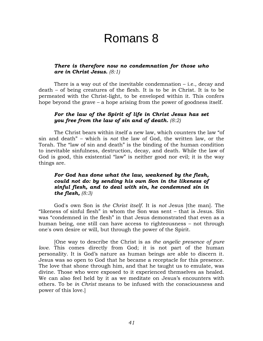# Romans 8

#### *There is therefore now no condemnation for those who are in Christ Jesus. (8:1)*

There is a way out of the inevitable condemnation – i.e., decay and death – of being creatures of the flesh. It is to be *in* Christ. It is to be permeated with the Christ-light, to be enveloped within it. This confers hope beyond the grave – a hope arising from the power of goodness itself.

#### *For the law of the Spirit of life in Christ Jesus has set you free from the law of sin and of death. (8:2)*

The Christ bears within itself a new law, which counters the law "of sin and death" – which is *not* the law of God, the written law, or the Torah. The "law of sin and death" is the binding of the human condition to inevitable sinfulness, destruction, decay, and death. While the law of God is good, this existential "law" is neither good nor evil; it is the way things are.

#### *For God has done what the law, weakened by the flesh, could not do: by sending his own Son in the likeness of sinful flesh, and to deal with sin, he condemned sin in the flesh, (8:3)*

God's own Son is *the Christ itself.* It is *not* Jesus [the man]. The "likeness of sinful flesh" in whom the Son was sent – that is Jesus. Sin was "condemned in the flesh" in that Jesus demonstrated that even as a human being, one still can have access to righteousness – not through one's own desire or will, but through the power of the Spirit.

[One way to describe the Christ is as *the angelic presence of pure love.* This comes directly from God; it is not part of the human personality. It is God's nature as human beings are able to discern it. Jesus was so open to God that he became a receptacle for this presence. The love that shone through him, and that he taught us to emulate, was divine. Those who were exposed to it experienced themselves as healed. We can also feel held by it as we meditate on Jesus's encounters with others. To be *in Christ* means to be infused with the consciousness and power of this love.]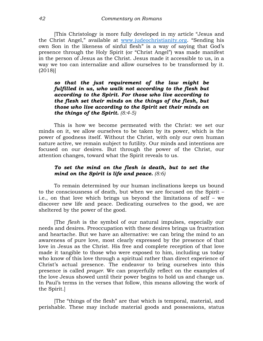[This Christology is more fully developed in my article "Jesus and the Christ Angel," available at [www.judeochristianity.org.](http://www.judeochristianity.org/) "Sending his own Son in the likeness of sinful flesh" is a way of saying that God's presence through the Holy Spirit (or "Christ Angel") was made manifest in the person of Jesus as the Christ. Jesus made it accessible to us, in a way we too can internalize and allow ourselves to be transformed by it. (2018)]

#### *so that the just requirement of the law might be fulfilled in us, who walk not according to the flesh but according to the Spirit. For those who live according to the flesh set their minds on the things of the flesh, but those who live according to the Spirit set their minds on the things of the Spirit. (8:4-5)*

This is how we become permeated with the Christ: we set our minds on it, we allow ourselves to be taken by its power, which is the power of goodness itself. Without the Christ, with only our own human nature active, we remain subject to futility. Our minds and intentions are focused on our desires. But through the power of the Christ, our attention changes, toward what the Spirit reveals to us.

#### *To set the mind on the flesh is death, but to set the mind on the Spirit is life and peace. (8:6)*

To remain determined by our human inclinations keeps us bound to the consciousness of death, but when we are focused on the Spirit – i.e., on that love which brings us beyond the limitations of self – we discover new life and peace. Dedicating ourselves to the good, we are sheltered by the power of the good.

[The *flesh* is the symbol of our natural impulses, especially our needs and desires. Preoccupation with these desires brings us frustration and heartache. But we have an alternative: we can bring the mind to an awareness of pure love, most clearly expressed by the presence of that love in Jesus as the Christ. His free and complete reception of that love made it tangible to those who were exposed to him, including us today who know of this love through a spiritual rather than direct experience of Christ's actual presence. The endeavor to bring ourselves into this presence is called *prayer.* We can prayerfully reflect on the examples of the love Jesus showed until their power begins to hold us and change us. In Paul's terms in the verses that follow, this means allowing the work of the Spirit.]

[The "things of the flesh" are that which is temporal, material, and perishable. These may include material goods and possessions, status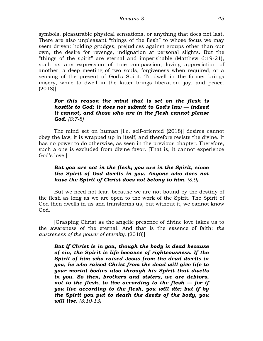symbols, pleasurable physical sensations, or anything that does not last. There are also unpleasant "things of the flesh" to whose focus we may seem driven: holding grudges, prejudices against groups other than our own, the desire for revenge, indignation at personal slights. But the "things of the spirit" are eternal and imperishable (Matthew 6:19-21), such as any expression of true compassion, loving appreciation of another, a deep meeting of two souls, forgiveness when required, or a sensing of the present of God's Spirit. To dwell in the former brings misery, while to dwell in the latter brings liberation, joy, and peace. (2018)]

#### *For this reason the mind that is set on the flesh is hostile to God; it does not submit to God's law – indeed it cannot, and those who are in the flesh cannot please God. (8:7-8)*

The mind set on human [i.e. self-oriented (2018)] desires cannot obey the law; it is wrapped up in itself, and therefore resists the divine. It has no power to do otherwise, as seen in the previous chapter. Therefore, such a one is excluded from divine favor. [That is, it cannot experience God's love.]

### *But you are not in the flesh; you are in the Spirit, since the Spirit of God dwells in you. Anyone who does not have the Spirit of Christ does not belong to him. (8:9)*

But we need not fear, because we are not bound by the destiny of the flesh as long as we are open to the work of the Spirit. The Spirit of God then dwells in us and transforms us, but without it, we cannot know God.

[Grasping Christ as the angelic presence of divine love takes us to the awareness of the eternal. And that is the essence of faith: *the awareness of the power of eternity.* (2018)]

*But if Christ is in you, though the body is dead because of sin, the Spirit is life because of righteousness. If the Spirit of him who raised Jesus from the dead dwells in you, he who raised Christ from the dead will give life to your mortal bodies also through his Spirit that dwells in you. So then, brothers and sisters, we are debtors, not to the flesh, to live according to the flesh — for if you live according to the flesh, you will die; but if by the Spirit you put to death the deeds of the body, you will live. (8:10-13)*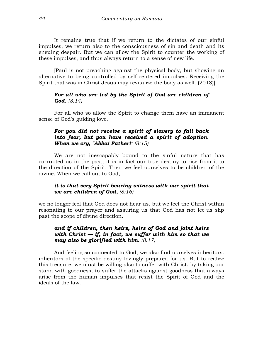It remains true that if we return to the dictates of our sinful impulses, we return also to the consciousness of sin and death and its ensuing despair. But we can allow the Spirit to counter the working of these impulses, and thus always return to a sense of new life.

[Paul is not preaching against the physical body, but showing an alternative to being controlled by self-centered impulses. Receiving the Spirit that was in Christ Jesus may revitalize the body as well. (2018)]

#### *For all who are led by the Spirit of God are children of God. (8:14)*

For all who so allow the Spirit to change them have an immanent sense of God's guiding love.

#### *For you did not receive a spirit of slavery to fall back into fear, but you have received a spirit of adoption. When we cry, "Abba! Father!" (8:15)*

We are not inescapably bound to the sinful nature that has corrupted us in the past; it is in fact our true destiny to rise from it to the direction of the Spirit. Then we feel ourselves to be children of the divine. When we call out to God,

#### *it is that very Spirit bearing witness with our spirit that we are children of God, (8:16)*

we no longer feel that God does not hear us, but we feel the Christ within resonating to our prayer and assuring us that God has not let us slip past the scope of divine direction.

### *and if children, then heirs, heirs of God and joint heirs with Christ — if, in fact, we suffer with him so that we may also be glorified with him. (8:17)*

And feeling so connected to God, we also find ourselves inheritors: inheritors of the specific destiny lovingly prepared for us. But to realize this treasure, we must be willing also to suffer with Christ: by taking our stand with goodness, to suffer the attacks against goodness that always arise from the human impulses that resist the Spirit of God and the ideals of the law.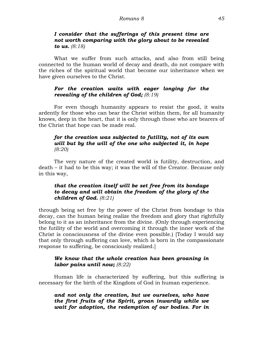#### *I consider that the sufferings of this present time are not worth comparing with the glory about to be revealed to us. (8:18)*

What we suffer from such attacks, and also from still being connected to the human world of decay and death, do not compare with the riches of the spiritual world that become our inheritance when we have given ourselves to the Christ.

#### *For the creation waits with eager longing for the revealing of the children of God; (8:19)*

For even though humanity appears to resist the good, it waits ardently for those who can bear the Christ within them, for all humanity knows, deep in the heart, that it is only through those who are bearers of the Christ that hope can be made real.

#### *for the creation was subjected to futility, not of its own will but by the will of the one who subjected it, in hope (8:20)*

The very nature of the created world is futility, destruction, and death – it had to be this way; it was the will of the Creator. Because only in this way,

#### *that the creation itself will be set free from its bondage to decay and will obtain the freedom of the glory of the children of God. (8:21)*

through being set free by the power of the Christ from bondage to this decay, can the human being realize the freedom and glory that rightfully belong to it as an inheritance from the divine. (Only through experiencing the futility of the world and overcoming it through the inner work of the Christ is consciousness of the divine even possible.) [Today I would say that only through suffering can love, which is born in the compassionate response to suffering, be consciously realized.]

#### *We know that the whole creation has been groaning in labor pains until now; (8:22)*

Human life is characterized by suffering, but this suffering is necessary for the birth of the Kingdom of God in human experience.

*and not only the creation, but we ourselves, who have the first fruits of the Spirit, groan inwardly while we wait for adoption, the redemption of our bodies. For in*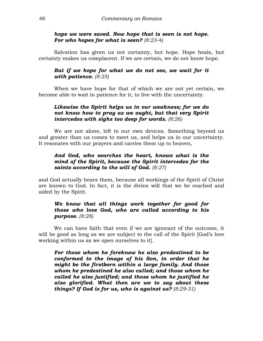*hope we were saved. Now hope that is seen is not hope. For who hopes for what is seen? (8:23-4)*

Salvation has given us not certainty, but hope. Hope heals, but certainty makes us complacent. If we are certain, we do not know hope.

#### *But if we hope for what we do not see, we wait for it with patience. (8:25)*

When we have hope for that of which we are not yet certain, we become able to wait in patience for it, to live with the uncertainty.

#### *Likewise the Spirit helps us in our weakness; for we do not know how to pray as we ought, but that very Spirit intercedes with sighs too deep for words. (8:26)*

We are not alone, left to our own devices. Something beyond us and greater than us comes to meet us, and helps us in our uncertainty. It resonates with our prayers and carries them up to heaven,

#### *And God, who searches the heart, knows what is the mind of the Spirit, because the Spirit intercedes for the saints according to the will of God. (8:27)*

and God actually hears them, because all workings of the Spirit of Christ are known to God. In fact, it is the divine will that we be reached and aided by the Spirit.

#### *We know that all things work together for good for those who love God, who are called according to his purpose. (8:28)*

We can have faith that even if we are ignorant of the outcome, it will be good as long as we are subject to the call of the Spirit [God's love working within us as we open ourselves to it].

*For those whom he foreknew he also predestined to be conformed to the image of his Son, in order that he might be the firstborn within a large family. And those whom he predestined he also called; and those whom he called he also justified; and those whom he justified he also glorified. What then are we to say about these things? If God is for us, who is against us? (8:29-31)*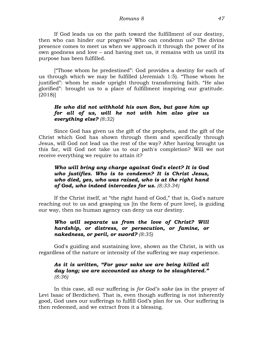#### *Romans 8 47*

If God leads us on the path toward the fulfillment of our destiny, then who can hinder our progress? Who can condemn us? The divine presence comes to meet us when we approach it through the power of its own goodness and love – and having met us, it remains with us until its purpose has been fulfilled.

["Those whom he predestined": God provides a destiny for each of us through which we may be fulfilled (Jeremiah 1:5). "Those whom he justified": whom he made upright through transforming faith. "He also glorified": brought us to a place of fulfillment inspiring our gratitude. (2018)]

#### *He who did not withhold his own Son, but gave him up for all of us, will he not with him also give us everything else? (8:32)*

Since God has given us the gift of the prophets, and the gift of the Christ which God has shown through them and specifically through Jesus, will God not lead us the rest of the way? After having brought us this far, will God not take us to our path's completion? Will we not receive everything we require to attain it?

#### *Who will bring any charge against God's elect? It is God who justifies. Who is to condemn? It is Christ Jesus, who died, yes, who was raised, who is at the right hand of God, who indeed intercedes for us. (8:33-34)*

If the Christ itself, at "the right hand of God," that is, God's nature reaching out to us and grasping us [in the form of pure love], is guiding our way, then no human agency can deny us our destiny.

#### *Who will separate us from the love of Christ? Will hardship, or distress, or persecution, or famine, or nakedness, or peril, or sword? (8:35)*

God's guiding and sustaining love, shown as the Christ, is with us regardless of the nature or intensity of the suffering we may experience.

#### *As it is written, "For your sake we are being killed all day long; we are accounted as sheep to be slaughtered." (8:36)*

In this case, all our suffering is *for God's sake* (as in the prayer of Levi Isaac of Berdichev). That is, even though suffering is not inherently good, God uses our sufferings to fulfill God's plan for us. Our suffering is then redeemed, and we extract from it a blessing.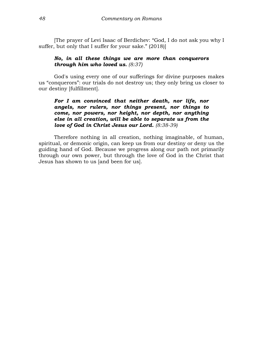[The prayer of Levi Isaac of Berdichev: "God, I do not ask you why I suffer, but only that I suffer for your sake." (2018)]

#### *No, in all these things we are more than conquerors through him who loved us. (8:37)*

God's using every one of our sufferings for divine purposes makes us "conquerors": our trials do not destroy us; they only bring us closer to our destiny [fulfillment].

#### *For I am convinced that neither death, nor life, nor angels, nor rulers, nor things present, nor things to come, nor powers, nor height, nor depth, nor anything else in all creation, will be able to separate us from the love of God in Christ Jesus our Lord. (8:38-39)*

Therefore nothing in all creation, nothing imaginable, of human, spiritual, or demonic origin, can keep us from our destiny or deny us the guiding hand of God. Because we progress along our path not primarily through our own power, but through the love of God in the Christ that Jesus has shown to us [and been for us].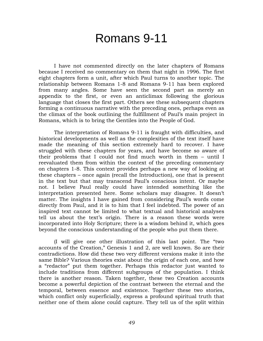# Romans 9-11

I have not commented directly on the later chapters of Romans because I received no commentary on them that night in 1996. The first eight chapters form a unit, after which Paul turns to another topic. The relationship between Romans 1-8 and Romans 9-11 has been explored from many angles. Some have seen the second part as merely an appendix to the first, or even an anticlimax following the glorious language that closes the first part. Others see these subsequent chapters forming a continuous narrative with the preceding ones, perhaps even as the climax of the book outlining the fulfillment of Paul's main project in Romans, which is to bring the Gentiles into the People of God.

The interpretation of Romans 9-11 is fraught with difficulties, and historical developments as well as the complexities of the text itself have made the meaning of this section extremely hard to recover. I have struggled with these chapters for years, and have become so aware of their problems that I could not find much worth in them – until I reevaluated them from within the context of the preceding commentary on chapters 1-8. This context provides perhaps a new way of looking at these chapters – once again (recall the Introduction), one that is present in the text but that may transcend Paul's conscious intent. Or maybe not. I believe Paul really could have intended something like the interpretation presented here. Some scholars may disagree. It doesn't matter. The insights I have gained from considering Paul's words come directly from Paul, and it is to him that I feel indebted. The power of an inspired text cannot be limited to what textual and historical analyses tell us about the text's origin. There is a reason these words were incorporated into Holy Scripture; there is a wisdom behind it, which goes beyond the conscious understanding of the people who put them there.

(I will give one other illustration of this last point. The "two accounts of the Creation," Genesis 1 and 2, are well known. So are their contradictions. How did these two very different versions make it into the same Bible? Various theories exist about the origin of each one, and how a "redactor" put them together. Perhaps this redactor just wanted to include traditions from different subgroups of the population. I think there is another reason. Taken together, these two Creation accounts become a powerful depiction of the contrast between the eternal and the temporal, between essence and existence. Together these two stories, which conflict only superficially, express a profound spiritual truth that neither one of them alone could capture. They tell us of the split within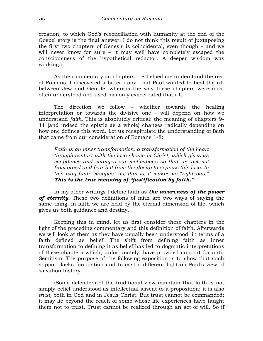creation, to which God's reconciliation with humanity at the end of the Gospel story is the final answer. I do not think this result of juxtaposing the first two chapters of Genesis is coincidental, even though – and we will never know for sure – it may well have completely escaped the consciousness of the hypothetical redactor. A deeper wisdom was working.)

As the commentary on chapters 1-8 helped me understand the rest of Romans, I discovered a bitter irony: that Paul wanted to heal the rift between Jew and Gentile, whereas the way these chapters were most often understood and used has only exacerbated that rift.

The direction we follow – whether towards the healing interpretation or towards the divisive one – will depend on how we understand *faith.* This is absolutely critical: the meaning of chapters 9- 11 (and indeed the epistle as a whole) changes radically depending on how one defines this word. Let us recapitulate the understanding of faith that came from our consideration of Romans 1-8:

*Faith is an inner transformation, a transformation of the heart through contact with the love shown in Christ, which gives us confidence and changes our motivations so that we act not from greed and fear but from the desire to express this love. In this way faith "justifies" us; that is, it makes us "righteous." This is the true meaning of "justification by faith."*

In my other writings I define faith as *the awareness of the power of eternity.* These two definitions of faith are two ways of saying the same thing: in faith we are held by the eternal dimension of life, which gives us both guidance and destiny.

Keeping this in mind, let us first consider these chapters in the light of the preceding commentary and this definition of faith. Afterwards we will look at them as they have usually been understood, in terms of a faith defined as belief. The shift from defining faith as inner transformation to defining it as belief has led to dogmatic interpretations of these chapters which, unfortunately, have provided support for anti-Semitism. The purpose of the following exposition is to show that such support lacks foundation and to cast a different light on Paul's view of salvation history.

(Some defenders of the traditional view maintain that faith is not simply belief understood as intellectual assent to a proposition; it is also *trust,* both in God and in Jesus Christ*.* But trust cannot be commanded; it may lie beyond the reach of some whose life experiences have taught them not to trust. Trust cannot be realized through an act of will. So if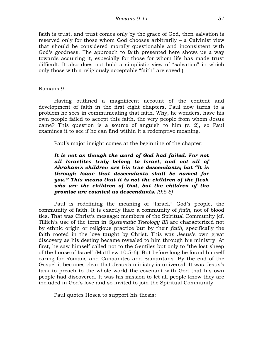faith is trust, and trust comes only by the grace of God, then salvation is reserved only for those whom God chooses arbitrarily – a Calvinist view that should be considered morally questionable and inconsistent with God's goodness. The approach to faith presented here shows us a way towards acquiring it, especially for those for whom life has made trust difficult. It also does not hold a simplistic view of "salvation" in which only those with a religiously acceptable "faith" are saved.)

#### Romans 9

Having outlined a magnificent account of the content and development of faith in the first eight chapters, Paul now turns to a problem he sees in communicating that faith. Why, he wonders, have his own people failed to accept this faith, the very people from whom Jesus came? This question is a source of anguish to him (v. 2), so Paul examines it to see if he can find within it a redemptive meaning.

Paul's major insight comes at the beginning of the chapter:

### *It is not as though the word of God had failed. For not all Israelites truly belong to Israel, and not all of Abraham's children are his true descendants; but "It is through Isaac that descendants shall be named for you." This means that it is not the children of the flesh who are the children of God, but the children of the promise are counted as descendants. (9:6-8)*

Paul is redefining the meaning of "Israel," God's people, the community of faith. It is exactly that: a community of *faith,* not of blood ties. That was Christ's message: members of the Spiritual Community (cf. Tillich's use of the term in *Systematic Theology III)* are characterized not by ethnic origin or religious practice but by their *faith,* specifically the faith rooted in the love taught by Christ. This was Jesus's own great discovery as his destiny became revealed to him through his ministry. At first, he saw himself called not to the Gentiles but only to "the lost sheep of the house of Israel" (Matthew 10:5-6). But before long he found himself caring for Romans and Canaanites and Samaritans. By the end of the Gospel it becomes clear that Jesus's ministry is universal. It was Jesus's task to preach to the whole world the covenant with God that his own people had discovered. It was his mission to let all people know they are included in God's love and so invited to join the Spiritual Community.

Paul quotes Hosea to support his thesis: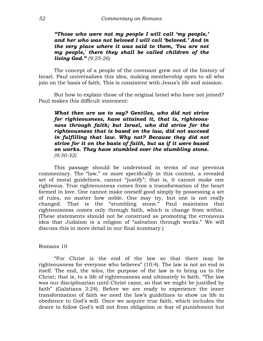*"Those who were not my people I will call 'my people,' and her who was not beloved I will call 'beloved.' And in the very place where it was said to them, 'You are not my people,' there they shall be called children of the living God." (9:25-26)*

The concept of a people of the covenant grew out of the history of Israel. Paul universalizes this idea, making membership open to all who join on the basis of faith. This is consistent with Jesus's life and mission.

But how to explain those of the original Israel who have not joined? Paul makes this difficult statement:

*What then are we to say? Gentiles, who did not strive for righteousness, have attained it, that is, righteousness through faith; but Israel, who did strive for the righteousness that is based on the law, did not succeed in fulfilling that law. Why not? Because they did not strive for it on the basis of faith, but as if it were based on works. They have stumbled over the stumbling stone. (9:30-32)*

This passage should be understood in terms of our previous commentary. The "law," or more specifically in this context, a revealed set of moral guidelines, cannot "justify"; that is, it cannot make one righteous. True righteousness comes from a transformation of the heart formed in love. One cannot make oneself good simply by possessing a set of rules, no matter how noble. One may try, but one is not really changed. That is the "stumbling stone." Paul maintains that righteousness comes only through faith, which is change from within. (These statements should not be construed as promoting the erroneous idea that Judaism is a religion of "salvation through works." We will discuss this in more detail in our final summary.)

Romans 10

"For Christ is the end of the law so that there may be righteousness for everyone who believes" (10:4). The law is not an end in itself. The end, the *telos,* the purpose of the law is to bring us to the Christ; that is, to a life of righteousness and ultimately to faith. "The law was our disciplinarian until Christ came, so that we might be justified by faith" (Galatians 3:24). Before we are ready to experience the inner transformation of faith we need the law's guidelines to show us life in obedience to God's will. Once we acquire true faith, which includes the desire to follow God's will not from obligation or fear of punishment but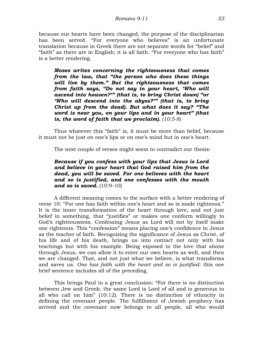because our hearts have been changed, the purpose of the disciplinarian has been served. "For everyone who believes" is an unfortunate translation because in Greek there are not separate words for "belief" and "faith" as there are in English; it is all faith. "For everyone who has faith" is a better rendering.

*Moses writes concerning the righteousness that comes from the law, that "the person who does these things will live by them." But the righteousness that comes from faith says, "Do not say in your heart, 'Who will ascend into heaven?'" (that is, to bring Christ down) "or 'Who will descend into the abyss?'" (that is, to bring Christ up from the dead). But what does it say? "The word is near you, on your lips and in your heart" (that is, the word of faith that we proclaim). (10:5-8)*

Thus whatever this "faith" is, it must be more than belief, because it must not be just on one's lips or on one's mind but in one's heart.

The next couple of verses might seem to contradict our thesis:

### *Because if you confess with your lips that Jesus is Lord and believe in your heart that God raised him from the dead, you will be saved. For one believes with the heart and so is justified, and one confesses with the mouth and so is saved.* (10:9-10)

A different meaning comes to the surface with a better rendering of verse 10: "For one has faith within one's heart and so is made righteous." It is the inner transformation of the heart through love, and not just belief in something, that "justifies" or makes one conform willingly to God's righteousness. Confessing Jesus as Lord will not by itself make one righteous. This "confession" means placing one's confidence in Jesus as the teacher of faith. Recognizing the significance of Jesus as Christ, of his life and of his death, brings us into contact not only with his teachings but with his example. Being exposed to the love that shone through Jesus, we can allow it to enter our own hearts as well, and then we are changed. That, and not just what we believe, is what transforms and saves us. *One has faith with the heart and so is justified:* this one brief sentence includes all of the preceding.

This brings Paul to a great conclusion: "For there is no distinction between Jew and Greek; the same Lord is Lord of all and is generous to all who call on him" (10:12). There is no distinction of ethnicity in defining the covenant people. The fulfillment of Jewish prophecy has arrived and the covenant now belongs to all people, all who would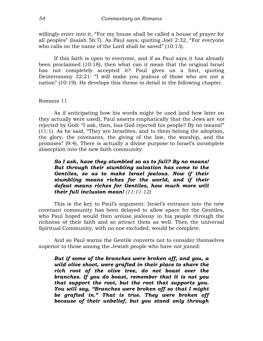willingly enter into it. "For my house shall be called a house of prayer for all peoples" (Isaiah 56:7). As Paul says, quoting Joel 2:32, "For everyone who calls on the name of the Lord shall be saved" (10:13).

If this faith is open to everyone, and if as Paul says it has already been proclaimed (10:18), then what can it mean that the original Israel has not completely accepted it? Paul gives us a hint, quoting Deuteronomy 32:21: "I will make you jealous of those who are not a nation" (10:19). He develops this theme in detail in the following chapter.

#### Romans 11

As if anticipating how his words might be used (and how later on they actually were used), Paul asserts emphatically that the Jews are *not* rejected by God: "I ask, then, has God rejected his people? By no means!" (11:1). As he said, "They are Israelites, and to them belong the adoption, the glory, the covenants, the giving of the law, the worship, and the promises" (9:4). There is actually a divine purpose to Israel's incomplete absorption into the new faith community:

*So I ask, have they stumbled so as to fall? By no means! But through their stumbling salvation has come to the Gentiles, so as to make Israel jealous. Now if their stumbling means riches for the world, and if their defeat means riches for Gentiles, how much more will their full inclusion mean! (11:11-12)*

This is the key to Paul's argument: Israel's entrance into the new covenant community has been delayed to allow space for the Gentiles, who Paul hoped would then arouse jealousy in his people through the richness of their faith and so attract them as well. Then the universal Spiritual Community, with no one excluded, would be complete.

And so Paul warns the Gentile converts not to consider themselves superior to those among the Jewish people who have not joined:

*But if some of the branches were broken off, and you, a wild olive shoot, were grafted in their place to share the rich root of the olive tree, do not boast over the branches. If you do boast, remember that it is not you that support the root, but the root that supports you. You will say, "Branches were broken off so that I might be grafted in." That is true. They were broken off because of their unbelief, but you stand only through*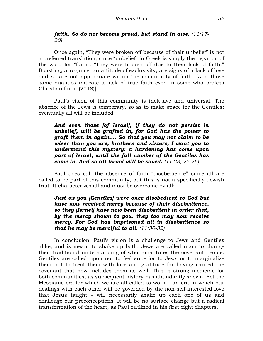#### *faith. So do not become proud, but stand in awe. (11:17- 20)*

Once again, "They were broken off because of their unbelief" is not a preferred translation, since "unbelief" in Greek is simply the negation of the word for "faith": "They were broken off due to their lack of faith." Boasting, arrogance, an attitude of exclusivity, are signs of a lack of love and so are not appropriate within the community of faith. [And those same qualities indicate a lack of true faith even in some who profess Christian faith. (2018)]

Paul's vision of this community is inclusive and universal. The absence of the Jews is temporary, so as to make space for the Gentiles; eventually all will be included:

*And even those [of Israel], if they do not persist in unbelief, will be grafted in, for God has the power to graft them in again.... So that you may not claim to be wiser than you are, brothers and sisters, I want you to understand this mystery: a hardening has come upon part of Israel, until the full number of the Gentiles has come in. And so all Israel will be saved. (11:23, 25-26)*

Paul does call the absence of faith "disobedience" since all are called to be part of this community, but this is not a specifically Jewish trait. It characterizes all and must be overcome by all:

*Just as you [Gentiles] were once disobedient to God but have now received mercy because of their disobedience, so they [Israel] have now been disobedient in order that, by the mercy shown to you, they too may now receive mercy. For God has imprisoned all in disobedience so that he may be merciful to all. (11:30-32)*

In conclusion, Paul's vision is a challenge to Jews and Gentiles alike, and is meant to shake up both. Jews are called upon to change their traditional understanding of who constitutes the covenant people. Gentiles are called upon not to feel superior to Jews or to marginalize them but to treat them with love and gratitude for having carried the covenant that now includes them as well. This is strong medicine for both communities, as subsequent history has abundantly shown. Yet the Messianic era for which we are all called to work – an era in which our dealings with each other will be governed by the non-self-interested love that Jesus taught – will necessarily shake up each one of us and challenge our preconceptions. It will be no surface change but a radical transformation of the heart, as Paul outlined in his first eight chapters.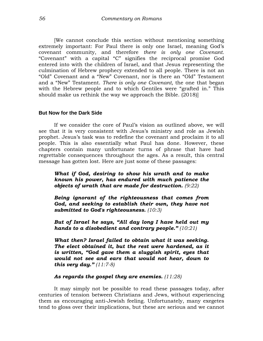[We cannot conclude this section without mentioning something extremely important: For Paul there is only one Israel, meaning God's covenant community, and therefore *there is only one Covenant.* "Covenant" with a capital "C" signifies the reciprocal promise God entered into with the children of Israel, and that Jesus representing the culmination of Hebrew prophecy extended to all people. There is not an "Old" Covenant and a "New" Covenant, nor is there an "Old" Testament and a "New" Testament. *There is only one Covenant,* the one that began with the Hebrew people and to which Gentiles were "grafted in." This should make us rethink the way we approach the Bible. (2018)]

#### **But Now for the Dark Side**

If we consider the core of Paul's vision as outlined above, we will see that it is very consistent with Jesus's ministry and role as Jewish prophet. Jesus's task was to redefine the covenant and proclaim it to all people. This is also essentially what Paul has done. However, these chapters contain many unfortunate turns of phrase that have had regrettable consequences throughout the ages. As a result, this central message has gotten lost. Here are just some of these passages:

*What if God, desiring to show his wrath and to make known his power, has endured with much patience the objects of wrath that are made for destruction. (9:22)*

*Being ignorant of the righteousness that comes from God, and seeking to establish their own, they have not submitted to God's righteousness. (10:3)*

*But of Israel he says, "All day long I have held out my hands to a disobedient and contrary people." (10:21)*

*What then? Israel failed to obtain what it was seeking. The elect obtained it, but the rest were hardened, as it is written, "God gave them a sluggish spirit, eyes that would not see and ears that would not hear, down to this very day." (11:7-8)*

*As regards the gospel they are enemies. (11:28)*

It may simply not be possible to read these passages today, after centuries of tension between Christians and Jews, without experiencing them as encouraging anti-Jewish feeling. Unfortunately, many exegetes tend to gloss over their implications, but these are serious and we cannot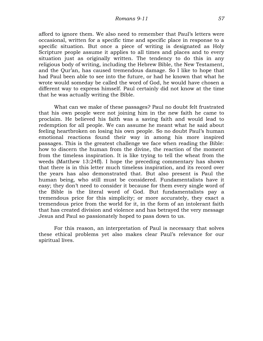#### *Romans 9-11 57*

afford to ignore them. We also need to remember that Paul's letters were occasional, written for a specific time and specific place in response to a specific situation. But once a piece of writing is designated as Holy Scripture people assume it applies to all times and places and to every situation just as originally written. The tendency to do this in any religious body of writing, including the Hebrew Bible, the New Testament, and the Qur'an, has caused tremendous damage. So I like to hope that had Paul been able to see into the future, or had he known that what he wrote would someday be called the word of God, he would have chosen a different way to express himself. Paul certainly did not know at the time that he was actually writing the Bible.

What can we make of these passages? Paul no doubt felt frustrated that his own people were not joining him in the new faith he came to proclaim. He believed his faith was a saving faith and would lead to redemption for all people. We can assume he meant what he said about feeling heartbroken on losing his own people. So no doubt Paul's human emotional reactions found their way in among his more inspired passages. This is the greatest challenge we face when reading the Bible: how to discern the human from the divine, the reaction of the moment from the timeless inspiration. It is like trying to tell the wheat from the weeds (Matthew 13:24ff). I hope the preceding commentary has shown that there is in this letter much timeless inspiration, and its record over the years has also demonstrated that. But also present is Paul the human being, who still must be considered. Fundamentalists have it easy; they don't need to consider it because for them every single word of the Bible is the literal word of God. But fundamentalists pay a tremendous price for this simplicity; or more accurately, they exact a tremendous price from the world for it, in the form of an intolerant faith that has created division and violence and has betrayed the very message Jesus and Paul so passionately hoped to pass down to us.

For this reason, an interpretation of Paul is necessary that solves these ethical problems yet also makes clear Paul's relevance for our spiritual lives.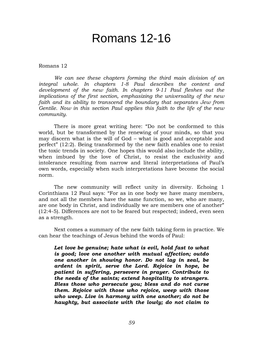# Romans 12-16

#### Romans 12

*We can see these chapters forming the third main division of an integral whole. In chapters 1-8 Paul describes the content and development of the new faith. In chapters 9-11 Paul fleshes out the implications of the first section, emphasizing the universality of the new faith and its ability to transcend the boundary that separates Jew from Gentile. Now in this section Paul applies this faith to the life of the new community.*

There is more great writing here: "Do not be conformed to this world, but be transformed by the renewing of your minds, so that you may discern what is the will of God – what is good and acceptable and perfect" (12:2). Being transformed by the new faith enables one to resist the toxic trends in society. One hopes this would also include the ability, when imbued by the love of Christ, to resist the exclusivity and intolerance resulting from narrow and literal interpretations of Paul's own words, especially when such interpretations have become the social norm.

The new community will reflect unity in diversity. Echoing 1 Corinthians 12 Paul says: "For as in one body we have many members, and not all the members have the same function, so we, who are many, are one body in Christ, and individually we are members one of another" (12:4-5). Differences are not to be feared but respected; indeed, even seen as a strength.

Next comes a summary of the new faith taking form in practice. We can hear the teachings of Jesus behind the words of Paul:

Let love be genuine; hate what is evil, hold fast to what *is good; love one another with mutual affection; outdo one another in showing honor. Do not lag in zeal, be ardent in spirit, serve the Lord. Rejoice in hope, be patient in suffering, persevere in prayer. Contribute to the needs of the saints; extend hospitality to strangers. Bless those who persecute you; bless and do not curse them. Rejoice with those who rejoice, weep with those who weep. Live in harmony with one another; do not be haughty, but associate with the lowly; do not claim to*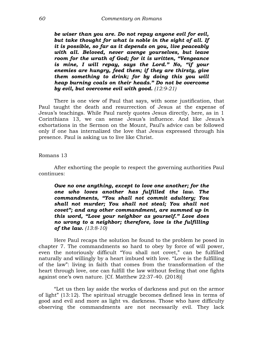*be wiser than you are. Do not repay anyone evil for evil, but take thought for what is noble in the sight of all. If it is possible, so far as it depends on you, live peaceably with all. Beloved, never avenge yourselves, but leave room for the wrath of God; for it is written, "Vengeance is mine, I will repay, says the Lord." No, "if your enemies are hungry, feed them; if they are thirsty, give them something to drink; for by doing this you will heap burning coals on their heads." Do not be overcome by evil, but overcome evil with good. (12:9-21)*

There is one view of Paul that says, with some justification, that Paul taught the death and resurrection of Jesus at the expense of Jesus's teachings. While Paul rarely quotes Jesus directly, here, as in 1 Corinthians 13, we can sense Jesus's influence. And like Jesus's exhortations in the Sermon on the Mount, Paul's advice can be followed only if one has internalized the love that Jesus expressed through his presence. Paul is asking us to live like Christ.

Romans 13

After exhorting the people to respect the governing authorities Paul continues:

*Owe no one anything, except to love one another; for the one who loves another has fulfilled the law. The commandments, "You shall not commit adultery; You shall not murder; You shall not steal; You shall not covet"; and any other commandment, are summed up in this word, "Love your neighbor as yourself." Love does no wrong to a neighbor; therefore, love is the fulfilling of the law. (13:8-10)*

Here Paul recaps the solution he found to the problem he posed in chapter 7. The commandments so hard to obey by force of will power, even the notoriously difficult "You shall not covet," can be fulfilled naturally and willingly by a heart imbued with love. "Love is the fulfilling of the law": living in faith that comes from the transformation of the heart through love, one can fulfill the law without feeling that one fights against one's own nature. [Cf. Matthew 22:37-40. (2018)]

"Let us then lay aside the works of darkness and put on the armor of light" (13:12). The spiritual struggle becomes defined less in terms of good and evil and more as light vs. darkness. Those who have difficulty observing the commandments are not necessarily evil. They lack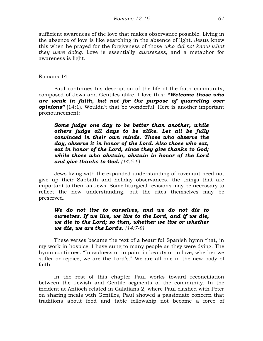sufficient awareness of the love that makes observance possible. Living in the absence of love is like searching in the absence of light. Jesus knew this when he prayed for the forgiveness of those *who did not know what they were doing.* Love is essentially *awareness,* and a metaphor for awareness is light.

#### Romans 14

Paul continues his description of the life of the faith community, composed of Jews and Gentiles alike. I love this: *"Welcome those who are weak in faith, but not for the purpose of quarreling over opinions"* (14:1). Wouldn't that be wonderful! Here is another important pronouncement:

*Some judge one day to be better than another, while others judge all days to be alike. Let all be fully convinced in their own minds. Those who observe the day, observe it in honor of the Lord. Also those who eat, eat in honor of the Lord, since they give thanks to God; while those who abstain, abstain in honor of the Lord and give thanks to God. (14:5-6)*

Jews living with the expanded understanding of covenant need not give up their Sabbath and holiday observances, the things that are important to them as Jews. Some liturgical revisions may be necessary to reflect the new understanding, but the rites themselves may be preserved.

#### *We do not live to ourselves, and we do not die to ourselves. If we live, we live to the Lord, and if we die, we die to the Lord; so then, whether we live or whether we die, we are the Lord's. (14:7-8)*

These verses became the text of a beautiful Spanish hymn that, in my work in hospice, I have sung to many people as they were dying. The hymn continues: "In sadness or in pain, in beauty or in love, whether we suffer or rejoice, we are the Lord's." We are all one in the new body of faith.

In the rest of this chapter Paul works toward reconciliation between the Jewish and Gentile segments of the community. In the incident at Antioch related in Galatians 2, where Paul clashed with Peter on sharing meals with Gentiles, Paul showed a passionate concern that traditions about food and table fellowship not become a force of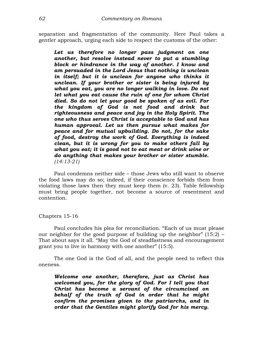separation and fragmentation of the community. Here Paul takes a gentler approach, urging each side to respect the customs of the other:

*Let us therefore no longer pass judgment on one another, but resolve instead never to put a stumbling block or hindrance in the way of another. I know and am persuaded in the Lord Jesus that nothing is unclean in itself; but it is unclean for anyone who thinks it unclean. If your brother or sister is being injured by what you eat, you are no longer walking in love. Do not let what you eat cause the ruin of one for whom Christ died. So do not let your good be spoken of as evil. For the kingdom of God is not food and drink but righteousness and peace and joy in the Holy Spirit. The one who thus serves Christ is acceptable to God and has human approval. Let us then pursue what makes for peace and for mutual upbuilding. Do not, for the sake of food, destroy the work of God. Everything is indeed clean, but it is wrong for you to make others fall by what you eat; it is good not to eat meat or drink wine or do anything that makes your brother or sister stumble. (14:13-21)*

Paul condemns neither side – those Jews who still want to observe the food laws may do so; indeed, if their conscience forbids them from violating those laws then they must keep them (v. 23). Table fellowship must bring people together, not become a source of resentment and contention.

Chapters 15-16

Paul concludes his plea for reconciliation. "Each of us must please our neighbor for the good purpose of building up the neighbor" (15:2) – That about says it all. "May the God of steadfastness and encouragement grant you to live in harmony with one another" (15:5).

The one God is the God of all, and the people need to reflect this oneness.

*Welcome one another, therefore, just as Christ has welcomed you, for the glory of God. For I tell you that Christ has become a servant of the circumcised on behalf of the truth of God in order that he might confirm the promises given to the patriarchs, and in order that the Gentiles might glorify God for his mercy.*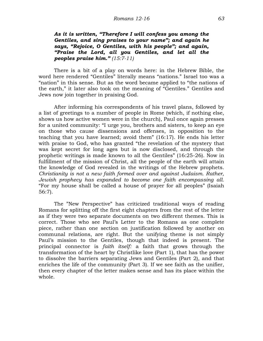*As it is written, "Therefore I will confess you among the Gentiles, and sing praises to your name"; and again he says, "Rejoice, O Gentiles, with his people"; and again, "Praise the Lord, all you Gentiles, and let all the peoples praise him." (15:7-11)*

There is a bit of a play on words here: in the Hebrew Bible, the word here rendered "Gentiles" literally means "nations." Israel too was a "nation" in this sense. But as the word became applied to "the nations of the earth," it later also took on the meaning of "Gentiles." Gentiles and Jews now join together in praising God.

After informing his correspondents of his travel plans, followed by a list of greetings to a number of people in Rome (which, if nothing else, shows us how active women were in the church), Paul once again presses for a united community: "I urge you, brothers and sisters, to keep an eye on those who cause dissensions and offenses, in opposition to the teaching that you have learned; avoid them" (16:17). He ends his letter with praise to God, who has granted "the revelation of the mystery that was kept secret for long ages but is now disclosed, and through the prophetic writings is made known to all the Gentiles" (16:25-26). Now in fulfillment of the mission of Christ, all the people of the earth will attain the knowledge of God revealed in the writings of the Hebrew prophets. *Christianity is not a new faith formed over and against Judaism. Rather, Jewish prophecy has expanded to become one faith encompassing all.* "For my house shall be called a house of prayer for all peoples" (Isaiah 56:7).

The "New Perspective" has criticized traditional ways of reading Romans for splitting off the first eight chapters from the rest of the letter as if they were two separate documents on two different themes. This is correct. Those who see Paul's Letter to the Romans as one complete piece, rather than one section on justification followed by another on communal relations, are right. But the unifying theme is not simply Paul's mission to the Gentiles, though that indeed is present. The principal connector is *faith itself:* a faith that grows through the transformation of the heart by Christlike love (Part 1), that has the power to dissolve the barriers separating Jews and Gentiles (Part 2), and that enriches the life of the community (Part 3). If we see faith as the unifier, then every chapter of the letter makes sense and has its place within the whole.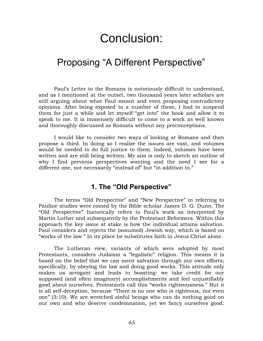# Conclusion:

# Proposing "A Different Perspective"

Paul's Letter to the Romans is notoriously difficult to understand, and as I mentioned at the outset, two thousand years later scholars are still arguing about what Paul meant and even proposing contradictory opinions. After being exposed to a number of these, I had to suspend them for just a while and let myself "get into" the book and allow it to speak to me. It is immensely difficult to come to a work as well known and thoroughly discussed as Romans without any preconceptions.

I would like to consider two ways of looking at Romans and then propose a third. In doing so I realize the issues are vast, and volumes would be needed to do full justice to them. Indeed, volumes have been written and are still being written. My aim is only to sketch an outline of why I find previous perspectives wanting and the need I see for a different one, not necessarily "instead of" but "in addition to."

## **1. The "Old Perspective"**

The terms "Old Perspective" and "New Perspective" in referring to Pauline studies were coined by the Bible scholar James D. G. Dunn. The "Old Perspective" historically refers to Paul's work as interpreted by Martin Luther and subsequently by the Protestant Reformers. Within this approach the key issue at stake is how the individual attains salvation. Paul considers and rejects the (assumed) Jewish way, which is based on "works of the law." In its place he substitutes faith in Jesus Christ alone.

The Lutheran view, variants of which were adopted by most Protestants, considers Judaism a "legalistic" religion. This means it is based on the belief that we can merit salvation through our own efforts; specifically, by obeying the law and doing good works. This attitude only makes us arrogant and leads to boasting: we take credit for our supposed (and often imaginary) accomplishments and feel unjustifiably good about ourselves. Protestants call this "works righteousness." But it is all self-deception, because "There is no one who is righteous, not even one" (3:10). We are wretched sinful beings who can do nothing good on our own and who deserve condemnation, yet we fancy ourselves good.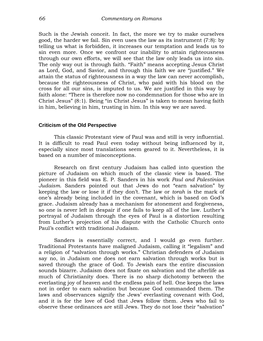Such is the Jewish conceit. In fact, the more we try to make ourselves good, the harder we fail. Sin even uses the law as its instrument (7:8): by telling us what is forbidden, it increases our temptation and leads us to sin even more. Once we confront our inability to attain righteousness through our own efforts, we will see that the law only leads us into sin. The only way out is through faith. "Faith" means accepting Jesus Christ as Lord, God, and Savior, and through this faith we are "justified." We attain the status of righteousness in a way the law can never accomplish, because the righteousness of Christ, who paid with his blood on the cross for all our sins, is imputed to us. We are justified in this way by faith alone: "There is therefore now no condemnation for those who are in Christ Jesus" (8:1). Being "in Christ Jesus" is taken to mean having faith in him, believing in him, trusting in him. In this way we are saved.

#### **Criticism of the Old Perspective**

This classic Protestant view of Paul was and still is very influential. It is difficult to read Paul even today without being influenced by it, especially since most translations seem geared to it. Nevertheless, it is based on a number of misconceptions.

Research on first century Judaism has called into question the picture of Judaism on which much of the classic view is based. The pioneer in this field was E. P. Sanders in his work *Paul and Palestinian Judaism.* Sanders pointed out that Jews do not "earn salvation" by keeping the law or lose it if they don't. The law or *torah* is the mark of one's already being included in the covenant, which is based on God's grace. Judaism already has a mechanism for atonement and forgiveness, so one is never left in despair if one fails to keep all of the law. Luther's portrayal of Judaism through the eyes of Paul is a distortion resulting from Luther's projection of his dispute with the Catholic Church onto Paul's conflict with traditional Judaism.

Sanders is essentially correct, and I would go even further. Traditional Protestants have maligned Judaism, calling it "legalism" and a religion of "salvation through works." Christian defenders of Judaism say no, in Judaism one does not earn salvation through works but is saved through the grace of God. To Jewish ears the entire discussion sounds bizarre. Judaism does not fixate on salvation and the afterlife as much of Christianity does. There is no sharp dichotomy between the everlasting joy of heaven and the endless pain of hell. One keeps the laws not in order to earn salvation but because God commanded them. The laws and observances signify the Jews' everlasting covenant with God, and it is for the love of God that Jews follow them. Jews who fail to observe these ordinances are still Jews. They do not lose their "salvation"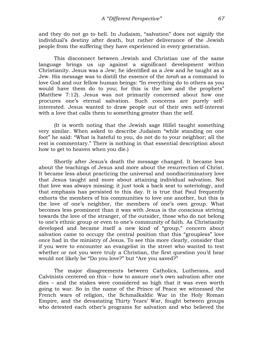and they do not go to hell. In Judaism, "salvation" does not signify the individual's destiny after death, but rather deliverance of the Jewish people from the suffering they have experienced in every generation.

This disconnect between Jewish and Christian use of the same language brings us up against a significant development within Christianity. Jesus was a Jew; he identified as a Jew and he taught as a Jew. His message was to distill the essence of the *torah* as a command to love God and our fellow human beings: "In everything do to others as you would have them do to you; for this is the law and the prophets" (Matthew 7:12). Jesus was not primarily concerned about how one procures one's eternal salvation. Such concerns are purely selfinterested. Jesus wanted to draw people out of their own self-interest with a love that calls them to something greater than the self.

(It is worth noting that the Jewish sage Hillel taught something very similar. When asked to describe Judaism "while standing on one foot" he said: "What is hateful to you, do not do to your neighbor; all the rest is commentary." There is nothing in that essential description about how to get to heaven when you die.)

Shortly after Jesus's death the message changed. It became less about the teachings of Jesus and more about the resurrection of Christ. It became less about practicing the universal and nondiscriminatory love that Jesus taught and more about attaining individual salvation. Not that love was always missing; it just took a back seat to soteriology, and that emphasis has persisted to this day. It is true that Paul frequently exhorts the members of his communities to love one another, but this is the love of one's neighbor, the members of one's own group. What becomes less prominent than it was with Jesus is the conscious striving towards the love of the stranger, of the outsider, those who do not belong to one's ethnic group or even to one's community of faith. As Christianity developed and became itself a new kind of "group," concern about salvation came to occupy the central position that this "groupless" love once had in the ministry of Jesus. To see this more clearly, consider that if you were to encounter an evangelist in the street who wanted to test whether or not you were truly a Christian, the first question you'd hear would not likely be "Do you love?" but "Are you saved?"

The major disagreements between Catholics, Lutherans, and Calvinists centered on this – how to assure one's own salvation after one dies – and the stakes were considered so high that it was even worth going to war. So in the name of the Prince of Peace we witnessed the French wars of religion, the Schmalkaldic War in the Holy Roman Empire, and the devastating Thirty Years' War, fought between groups who detested each other's programs for salvation and who believed the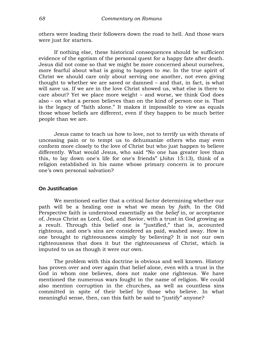others were leading their followers down the road to hell. And those wars were just for starters.

If nothing else, these historical consequences should be sufficient evidence of the egotism of the personal quest for a happy fate after death. Jesus did not come so that we might be more concerned about ourselves, more fearful about what is going to happen to *me.* In the true spirit of Christ we should care only about serving one another, not even giving thought to whether we are saved or damned – and that, in fact, is what will save us. If we are in the love Christ showed us, what else is there to care about? Yet we place more weight – and worse, we think God does also – on what a person believes than on the kind of person one is. That is the legacy of "faith alone." It makes it impossible to view as equals those whose beliefs are different, even if they happen to be much better people than we are.

Jesus came to teach us how to love, not to terrify us with threats of unceasing pain or to tempt us to dehumanize others who may even conform more closely to the love of Christ but who just happen to believe differently. What would Jesus, who said "No one has greater love than this, to lay down one's life for one's friends" (John 15:13), think of a religion established in his name whose primary concern is to procure one's own personal salvation?

#### **On Justification**

We mentioned earlier that a critical factor determining whether our path will be a healing one is what we mean by *faith.* In the Old Perspective faith is understood essentially as the *belief* in, or acceptance of, Jesus Christ as Lord, God, and Savior, with a trust in God growing as a result. Through this belief one is "justified," that is, accounted righteous, and one's sins are considered as paid, washed away. How is one brought to righteousness simply by believing? It is not our own righteousness that does it but the righteousness of Christ, which is imputed to us as though it were our own.

The problem with this doctrine is obvious and well known. History has proven over and over again that belief alone, even with a trust in the God in whom one believes, does not make one righteous. We have mentioned the numerous wars fought in the name of religion. We could also mention corruption in the churches, as well as countless sins committed in spite of their belief by those who believe. In what meaningful sense, then, can this faith be said to "justify" anyone?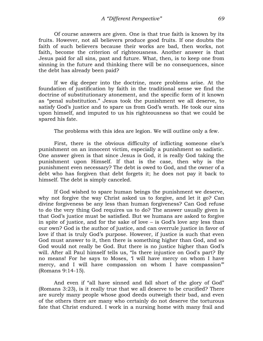Of course answers are given. One is that true faith is known by its fruits. However, not all believers produce good fruits. If one doubts the faith of such believers because their works are bad, then works, not faith, become the criterion of righteousness. Another answer is that Jesus paid for all sins, past and future. What, then, is to keep one from sinning in the future and thinking there will be no consequences, since the debt has already been paid?

If we dig deeper into the doctrine, more problems arise. At the foundation of justification by faith in the traditional sense we find the doctrine of substitutionary atonement, and the specific form of it known as "penal substitution." Jesus took the punishment we all deserve, to satisfy God's justice and to spare us from God's wrath. He took our sins upon himself, and imputed to us his righteousness so that we could be spared his fate.

The problems with this idea are legion. We will outline only a few.

First, there is the obvious difficulty of inflicting someone else's punishment on an innocent victim, especially a punishment so sadistic. One answer given is that since Jesus is God, it is really God taking the punishment upon Himself. If that is the case, then why is the punishment even necessary? The debt is owed to God, and the owner of a debt who has forgiven that debt forgets it; he does not pay it back to himself. The debt is simply canceled.

If God wished to spare human beings the punishment we deserve, why not forgive the way Christ asked us to forgive, and let it go? Can divine forgiveness be any less than human forgiveness? Can God refuse to do the very thing God requires us to do? The answer usually given is that God's justice must be satisfied. But we humans are asked to forgive in spite of justice, and for the sake of love – is God's love any less than our own? God is the author of justice, and can overrule justice in favor of love if that is truly God's purpose. However, if justice is such that even God must answer to it, then there is something higher than God, and so God would not really be God. But there is no justice higher than God's will. After all Paul himself tells us, "Is there injustice on God's part? By no means! For he says to Moses, 'I will have mercy on whom I have mercy, and I will have compassion on whom I have compassion'" (Romans 9:14-15).

And even if "all have sinned and fall short of the glory of God" (Romans 3:23), is it really true that we all deserve to be crucified? There are surely many people whose good deeds outweigh their bad, and even of the others there are many who certainly do not deserve the torturous fate that Christ endured. I work in a nursing home with many frail and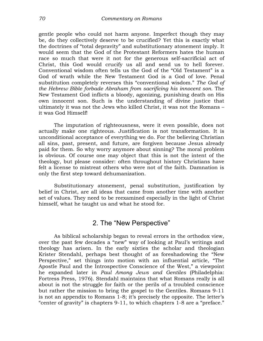gentle people who could not harm anyone. Imperfect though they may be, do they collectively deserve to be crucified? Yet this is exactly what the doctrines of "total depravity" and substitutionary atonement imply. It would seem that the God of the Protestant Reformers hates the human race so much that were it not for the generous self-sacrificial act of Christ, this God would crucify us all and send us to hell forever. Conventional wisdom often tells us the God of the "Old Testament" is a God of wrath while the New Testament God is a God of love. Penal substitution completely reverses this "conventional wisdom." *The God of the Hebrew Bible forbade Abraham from sacrificing his innocent son.* The New Testament God inflicts a bloody, agonizing, punishing death on His own innocent son. Such is the understanding of divine justice that ultimately it was not the Jews who killed Christ, it was not the Romans – it was God Himself!

The imputation of righteousness, were it even possible, does not actually make one righteous. Justification is not transformation. It is unconditional acceptance of everything we do. For the believing Christian all sins, past, present, and future, are forgiven because Jesus already paid for them. So why worry anymore about sinning? The moral problem is obvious. Of course one may object that this is not the intent of the theology, but please consider: often throughout history Christians have felt a license to mistreat others who were not of the faith. Damnation is only the first step toward dehumanization.

Substitutionary atonement, penal substitution, justification by belief in Christ, are all ideas that came from another time with another set of values. They need to be reexamined especially in the light of Christ himself, what he taught us and what he stood for.

## 2. The "New Perspective"

As biblical scholarship began to reveal errors in the orthodox view, over the past few decades a "new" way of looking at Paul's writings and theology has arisen. In the early sixties the scholar and theologian Krister Stendahl, perhaps best thought of as foreshadowing the "New Perspective," set things into motion with an influential article, "The Apostle Paul and the Introspective Conscience of the West," a viewpoint he expanded later in *Paul Among Jews and Gentiles* (Philadelphia: Fortress Press, 1976)*.* Stendahl maintains that what Romans really is all about is not the struggle for faith or the perils of a troubled conscience but rather the mission to bring the gospel to the Gentiles. Romans 9-11 is not an appendix to Romans 1-8; it's precisely the opposite. The letter's "center of gravity" is chapters 9-11, to which chapters 1-8 are a "preface."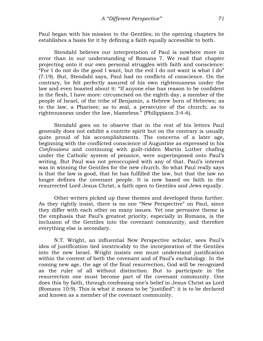Paul began with his mission to the Gentiles; in the opening chapters he establishes a basis for it by defining a faith equally accessible to both.

Stendahl believes our interpretation of Paul is nowhere more in error than in our understanding of Romans 7. We read that chapter projecting onto it our own personal struggles with faith and conscience: "For I do not do the good I want, but the evil I do not want is what I do" (7:19). But, Stendahl says, Paul had no conflicts of conscience. On the contrary, he felt perfectly assured of his own righteousness under the law and even boasted about it: "If anyone else has reason to be confident in the flesh, I have more: circumcised on the eighth day, a member of the people of Israel, of the tribe of Benjamin, a Hebrew born of Hebrews; as to the law, a Pharisee; as to zeal, a persecutor of the church; as to righteousness under the law, blameless." (Philippians 3:4-6).

Stendahl goes on to observe that in the rest of his letters Paul generally does not exhibit a contrite spirit but on the contrary is usually quite proud of his accomplishments. The concerns of a later age, beginning with the conflicted conscience of Augustine as expressed in his *Confessions* and continuing with guilt-ridden Martin Luther chafing under the Catholic system of penance, were superimposed onto Paul's writing. But Paul was not preoccupied with any of that. Paul's interest was in winning the Gentiles for the new church. So what Paul really says is that the law is good, that he has fulfilled the law, but that the law no longer defines the covenant people. It is now based on faith in the resurrected Lord Jesus Christ, a faith open to Gentiles and Jews equally.

Other writers picked up these themes and developed them further. As they rightly insist, there is no one "New Perspective" on Paul, since they differ with each other on many issues. Yet one pervasive theme is the emphasis that Paul's greatest priority, especially in Romans, is the inclusion of the Gentiles into the covenant community, and therefore everything else is secondary.

N.T. Wright, an influential New Perspective scholar, sees Paul's idea of justification tied inextricably to the incorporation of the Gentiles into the new Israel. Wright insists one must understand justification within the context of both the covenant and of Paul's eschatology. In the coming new age, the age of the final resurrection, God will be recognized as the ruler of all without distinction. But to participate in the resurrection one must become part of the covenant community. One does this by faith, through confessing one's belief in Jesus Christ as Lord (Romans 10:9). This is what it means to be "justified": it is to be declared and known as a member of the covenant community.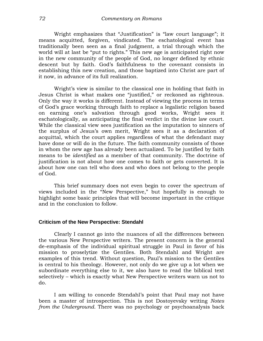Wright emphasizes that "Justification" is "law court language"; it means acquitted, forgiven, vindicated. The eschatological event has traditionally been seen as a final judgment, a trial through which the world will at last be "put to rights." This new age is anticipated right now in the new community of the people of God, no longer defined by ethnic descent but by faith. God's faithfulness to the covenant consists in establishing this new creation, and those baptized into Christ are part of it now, in advance of its full realization.

Wright's view is similar to the classical one in holding that faith in Jesus Christ is what makes one "justified," or reckoned as righteous. Only the way it works is different. Instead of viewing the process in terms of God's grace working through faith to replace a legalistic religion based on earning one's salvation through good works, Wright sees it eschatologically, as anticipating the final verdict in the divine law court. While the classical view sees justification as the imputation to sinners of the surplus of Jesus's own merit, Wright sees it as a declaration of acquittal, which the court applies regardless of what the defendant may have done or will do in the future. The faith community consists of those in whom the new age has already been actualized. To be justified by faith means to be *identified* as a member of that community. The doctrine of justification is not about how one comes to faith or gets converted. It is about how one can tell who does and who does not belong to the people of God.

This brief summary does not even begin to cover the spectrum of views included in the "New Perspective," but hopefully is enough to highlight some basic principles that will become important in the critique and in the conclusion to follow.

#### **Criticism of the New Perspective: Stendahl**

Clearly I cannot go into the nuances of all the differences between the various New Perspective writers. The present concern is the general de-emphasis of the individual spiritual struggle in Paul in favor of his mission to proselytize the Gentiles. Both Stendahl and Wright are examples of this trend. Without question, Paul's mission to the Gentiles is central to his theology. However, not only do we give up a lot when we subordinate everything else to it, we also have to read the biblical text selectively – which is exactly what New Perspective writers warn us not to do.

I am willing to concede Stendahl's point that Paul may not have been a master of introspection. This is not Dostoyevsky writing *Notes from the Underground.* There was no psychology or psychoanalysis back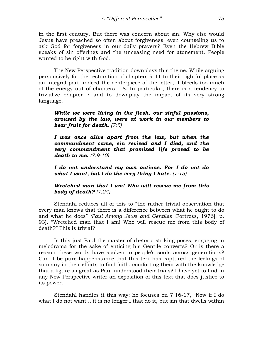in the first century. But there was concern about sin. Why else would Jesus have preached so often about forgiveness, even counseling us to ask God for forgiveness in our daily prayers? Even the Hebrew Bible speaks of sin offerings and the unceasing need for atonement. People wanted to be right with God.

The New Perspective tradition downplays this theme. While arguing persuasively for the restoration of chapters 9-11 to their rightful place as an integral part, indeed the centerpiece of the letter, it bleeds too much of the energy out of chapters 1-8. In particular, there is a tendency to trivialize chapter 7 and to downplay the impact of its very strong language.

*While we were living in the flesh, our sinful passions, aroused by the law, were at work in our members to bear fruit for death. (7:5)*

*I was once alive apart from the law, but when the commandment came, sin revived and I died, and the very commandment that promised life proved to be death to me. (7:9-10)*

*I do not understand my own actions. For I do not do what I want, but I do the very thing I hate. (7:15)*

*Wretched man that I am! Who will rescue me from this body of death? (7:24)*

Stendahl reduces all of this to "the rather trivial observation that every man knows that there is a difference between what he ought to do and what he does" *(Paul Among Jews and Gentiles* [Fortress, 1976], p. 93). "Wretched man that I am! Who will rescue me from this body of death?" This is trivial?

Is this just Paul the master of rhetoric striking poses, engaging in melodrama for the sake of enticing his Gentile converts? Or is there a reason these words have spoken to people's souls across generations? Can it be pure happenstance that this text has captured the feelings of so many in their efforts to find faith, comforting them with the knowledge that a figure as great as Paul understood their trials? I have yet to find in any New Perspective writer an exposition of this text that does justice to its power.

Stendahl handles it this way: he focuses on 7:16-17, "Now if I do what I do not want... it is no longer I that do it, but sin that dwells within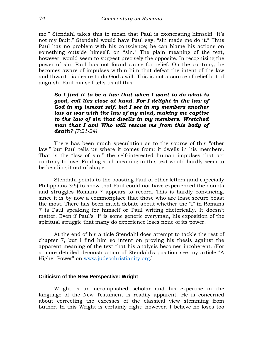me." Stendahl takes this to mean that Paul is exonerating himself! "It's not my fault," Stendahl would have Paul say, "sin made me do it." Thus Paul has no problem with his conscience; he can blame his actions on something outside himself, on "sin." The plain meaning of the text, however, would seem to suggest precisely the opposite. In recognizing the power of sin, Paul has not found cause for relief. On the contrary, he becomes aware of impulses within him that defeat the intent of the law and thwart his desire to do God's will. This is not a source of relief but of anguish. Paul himself tells us all this:

*So I find it to be a law that when I want to do what is good, evil lies close at hand. For I delight in the law of God in my inmost self, but I see in my members another law at war with the law of my mind, making me captive to the law of sin that dwells in my members. Wretched man that I am! Who will rescue me from this body of death? (7:21-24)*

There has been much speculation as to the source of this "other law," but Paul tells us where it comes from: it dwells in his members. That is the "law of sin," the self-interested human impulses that act contrary to love. Finding such meaning in this text would hardly seem to be bending it out of shape.

Stendahl points to the boasting Paul of other letters (and especially Philippians 3:6) to show that Paul could not have experienced the doubts and struggles Romans 7 appears to record. This is hardly convincing, since it is by now a commonplace that those who are least secure boast the most. There has been much debate about whether the "I" in Romans 7 is Paul speaking for himself or Paul writing rhetorically. It doesn't matter. Even if Paul's "I" is some generic everyman, his exposition of the spiritual struggle that many do experience loses none of its power.

At the end of his article Stendahl does attempt to tackle the rest of chapter 7, but I find him so intent on proving his thesis against the apparent meaning of the text that his analysis becomes incoherent. (For a more detailed deconstruction of Stendahl's position see my article "A Higher Power" on [www.judeochristianity.org.](http://www.judeochristianity.org/))

#### **Criticism of the New Perspective: Wright**

Wright is an accomplished scholar and his expertise in the language of the New Testament is readily apparent. He is concerned about correcting the excesses of the classical view stemming from Luther. In this Wright is certainly right; however, I believe he loses too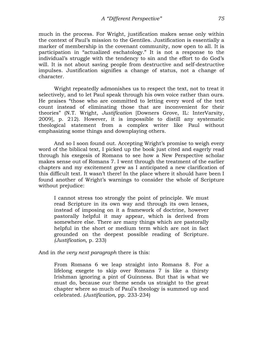much in the process. For Wright, justification makes sense only within the context of Paul's mission to the Gentiles. Justification is essentially a marker of membership in the covenant community, now open to all. It is participation in "actualized eschatology." It is not a response to the individual's struggle with the tendency to sin and the effort to do God's will. It is not about saving people from destructive and self-destructive impulses. Justification signifies a change of status, not a change of character.

Wright repeatedly admonishes us to respect the text, not to treat it selectively, and to let Paul speak through his own voice rather than ours. He praises "those who are committed to letting every word of the text count instead of eliminating those that are inconvenient for their theories" (N.T. Wright, *Justification* [Downers Grove, IL: InterVarsity, 2009], p. 212). However, it is impossible to distill any systematic theological statement from a complex writer like Paul without emphasizing some things and downplaying others.

And so I soon found out. Accepting Wright's promise to weigh every word of the biblical text, I picked up the book just cited and eagerly read through his exegesis of Romans to see how a New Perspective scholar makes sense out of Romans 7. I went through the treatment of the earlier chapters and my excitement grew as I anticipated a new clarification of this difficult text. It wasn't there! In the place where it should have been I found another of Wright's warnings to consider the whole of Scripture without prejudice:

I cannot stress too strongly the point of principle. We must read Scripture in its own way and through its own lenses, instead of imposing on it a framework of doctrine, however pastorally helpful it may appear, which is derived from somewhere else. There are many things which are pastorally helpful in the short or medium term which are not in fact grounded on the deepest possible reading of Scripture. *(Justification,* p. 233)

And in *the very next paragraph* there is this:

From Romans 6 we leap straight into Romans 8. For a lifelong exegete to skip over Romans 7 is like a thirsty Irishman ignoring a pint of Guinness. But that is what we must do, because our theme sends us straight to the great chapter where so much of Paul's theology is summed up and celebrated. *(Justification,* pp. 233-234)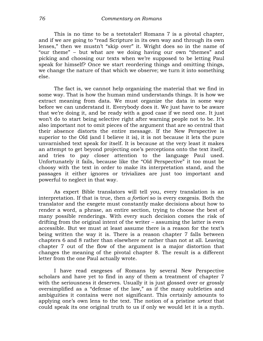This is no time to be a teetotaler! Romans 7 is a pivotal chapter, and if we are going to "read Scripture in its own way and through its own lenses," then we mustn't "skip over" it. Wright does so in the name of "our theme" – but what are we doing having our own "themes" and picking and choosing our texts when we're supposed to be letting Paul speak for himself? Once we start reordering things and omitting things, we change the nature of that which we observe; we turn it into something else.

The fact is, we cannot help organizing the material that we find in some way. That is how the human mind understands things. It is how we extract meaning from data. We must organize the data in some way before we can understand it. Everybody does it. We just have to be aware that we're doing it, and be ready with a good case if we need one. It just won't do to start being selective right after warning people not to be. It's also important not to omit pieces of the argument that are so central that their absence distorts the entire message. If the New Perspective is superior to the Old (and I believe it is), it is not because it lets the pure unvarnished text speak for itself. It is because at the very least it makes an attempt to get beyond projecting one's perceptions onto the text itself, and tries to pay closer attention to the language Paul used. Unfortunately it fails, because like the "Old Perspective" it too must be choosy with the text in order to make its interpretation stand, and the passages it either ignores or trivializes are just too important and powerful to neglect in that way.

As expert Bible translators will tell you, every translation is an interpretation. If that is true, then *a fortiori* so is every exegesis. Both the translator and the exegete must constantly make decisions about how to render a word, a phrase, an entire section, trying to choose the best of many possible renderings. With every such decision comes the risk of drifting from the original intent of the writer – assuming the latter is even accessible. But we must at least assume there is a reason for the text's being written the way it is. There is a reason chapter 7 falls between chapters 6 and 8 rather than elsewhere or rather than not at all. Leaving chapter 7 out of the flow of the argument is a major distortion that changes the meaning of the pivotal chapter 8. The result is a different letter from the one Paul actually wrote.

I have read exegeses of Romans by several New Perspective scholars and have yet to find in any of them a treatment of chapter 7 with the seriousness it deserves. Usually it is just glossed over or grossly oversimplified as a "defense of the law," as if the many subtleties and ambiguities it contains were not significant. This certainly amounts to applying one's own lens to the text. The notion of a pristine *urtext* that could speak its one original truth to us if only we would let it is a myth.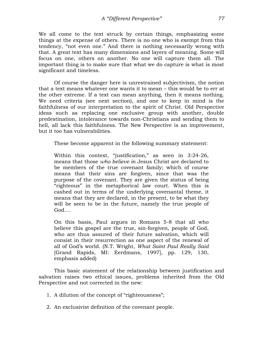We all come to the text struck by certain things, emphasizing some things at the expense of others. There is no one who is exempt from this tendency, "not even one." And there is nothing necessarily wrong with that. A great text has many dimensions and layers of meaning. Some will focus on one, others on another. No one will capture them all. The important thing is to make sure that what we do capture is what is most significant and timeless.

Of course the danger here is unrestrained subjectivism, the notion that a text means whatever one wants it to mean – this would be to err at the other extreme. If a text can mean anything, then it means nothing. We need criteria (see next section), and one to keep in mind is the faithfulness of our interpretation to the spirit of Christ. Old Perspective ideas such as replacing one exclusive group with another, double predestination, intolerance towards non-Christians and sending them to hell, all lack this faithfulness. The New Perspective is an improvement, but it too has vulnerabilities.

These become apparent in the following summary statement:

Within this context, "justification," as seen in 3:24-26, means that those *who believe in* Jesus Christ are declared to be members of the true covenant family; which of course means that their sins are forgiven, since that was the purpose of the covenant. They are given the status of being "righteous" in the metaphorical law court. When this is cashed out in terms of the underlying covenantal theme, it means that they are declared, in the present, to be what they will be seen to be in the future, namely the true people of God....

On this basis, Paul argues in Romans 5-8 that all who believe this gospel are the true, sin-forgiven, people of God, who are thus assured of their future salvation, which will consist in their resurrection as one aspect of the renewal of all of God's world. (N.T. Wright, *What Saint Paul Really Said*  [Grand Rapids, MI: Eerdmans, 1997], pp. 129, 130, emphasis added)

This basic statement of the relationship between justification and salvation raises two ethical issues, problems inherited from the Old Perspective and not corrected in the new:

- 1. A dilution of the concept of "righteousness";
- 2. An exclusivist definition of the covenant people.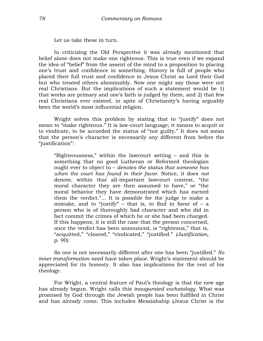Let us take these in turn.

In criticizing the Old Perspective it was already mentioned that belief alone does not make one righteous. This is true even if we expand the idea of "belief" from the assent of the mind to a proposition to placing one's trust and confidence in something. History is full of people who placed their full trust and confidence in Jesus Christ as Lord their God but who treated others abominably. Now one might say those were not real Christians. But the implications of such a statement would be 1) that works are primary and one's faith is judged by them, and 2) that few real Christians ever existed, in spite of Christianity's having arguably been the world's most influential religion.

Wright solves this problem by stating that to "justify" does not mean to "make righteous." It is law-court language; it means to acquit or to vindicate, to be accorded the status of "not guilty." It does *not* mean that the person's character is necessarily any different from before the "justification":

"Righteousness," within the lawcourt setting – and this is something that no good Lutheran or Reformed theologian ought ever to object to – *denotes the status that someone has when the court has found in their favor.* Notice, it does *not* denote, within that all-important lawcourt context, "the moral character they are then assumed to have," or "the moral behavior they have demonstrated which has earned them the verdict."... It is possible for the judge to make a mistake, and to "justify" – that is, to find in favor of – a person who is of thoroughly bad character and who did in fact commit the crimes of which he or she had been charged. If this happens, it is still the case that the person concerned, once the verdict has been announced, is "righteous," that is, "acquitted," "cleared," "vindicated," "justified." *(Justification,* p. 90)

So one is not necessarily different after one has been "justified." *No inner transformation need have taken place.* Wright's statement should be appreciated for its honesty. It also has implications for the rest of his theology.

For Wright, a central feature of Paul's theology is that the new age has already begun. Wright calls this *inaugurated eschatology.* What was promised by God through the Jewish people has been fulfilled in Christ and has already come. This includes Messiahship (Jesus Christ is the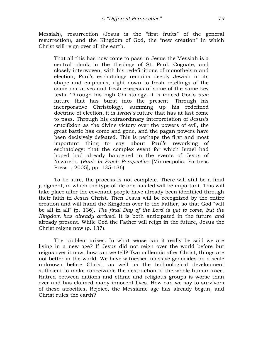Messiah), resurrection (Jesus is the "first fruits" of the general resurrection), and the Kingdom of God, the "new creation" in which Christ will reign over all the earth.

That all this has now come to pass in Jesus the Messiah is a central plank in the theology of St. Paul. Cognate, and closely interwoven, with his redefinitions of monotheism and election, Paul's eschatology remains deeply Jewish in its shape and emphasis, right down to fresh retellings of the same narratives and fresh exegesis of some of the same key texts. Through his high Christology, it is indeed God's *own* future that has burst into the present. Through his incorporative Christology, summing up his redefined doctrine of election, it is *Israel's* future that has at last come to pass. Through his extraordinary interpretation of Jesus's crucifixion as the divine victory over the powers of evil, the great battle has come and gone, and the pagan powers have been decisively defeated. This is perhaps the first and most important thing to say about Paul's reworking of eschatology: that the complex event for which Israel had hoped had already happened in the events of Jesus of Nazareth. (*Paul: In Fresh Perspective* [Minneapolis: Fortress Press , 2005], pp. 135-136)

To be sure, the process is not complete. There will still be a final judgment, in which the type of life one has led will be important. This will take place after the covenant people have already been identified through their faith in Jesus Christ. Then Jesus will be recognized by the entire creation and will hand the Kingdom over to the Father, so that God "will be all in all" (p. 136). *The final Day of the Lord is yet to come, but the Kingdom has already arrived.* It is both anticipated in the future *and* already present. While God the Father will reign in the future, Jesus the Christ reigns now (p. 137).

The problem arises: In what sense can it really be said we are living in a new age? If Jesus did not reign over the world before but reigns over it now, how can we tell? Two millennia after Christ, things are not better in the world. We have witnessed massive genocides on a scale unknown before Christ, as well as the technological development sufficient to make conceivable the destruction of the whole human race. Hatred between nations and ethnic and religious groups is worse than ever and has claimed many innocent lives. How can we say to survivors of these atrocities, Rejoice, the Messianic age has already begun, and Christ rules the earth?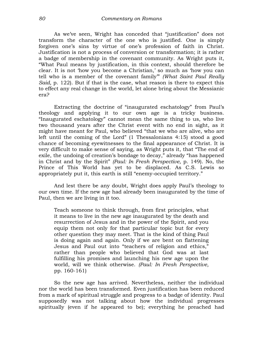As we've seen, Wright has conceded that "justification" does not transform the character of the one who is justified. One is simply forgiven one's sins by virtue of one's profession of faith in Christ. Justification is not a process of conversion or transformation; it is rather a badge of membership in the covenant community. As Wright puts it, "What Paul means by justification, in this context, should therefore be clear. It is not 'how you become a Christian,' so much as 'how you can tell who is a member of the covenant family'" *(What Saint Paul Really Said,* p. 122). But if that is the case, what reason is there to expect this to effect any real change in the world, let alone bring about the Messianic era?

Extracting the doctrine of "inaugurated eschatology" from Paul's theology and applying it to our own age is a tricky business. "Inaugurated eschatology" cannot mean the same thing to us, who live two thousand years after the Christ event with no end in sight, as it might have meant for Paul, who believed "that we who are alive, who are left until the coming of the Lord" (1 Thessalonians 4:15) stood a good chance of becoming eyewitnesses to the final appearance of Christ. It is very difficult to make sense of saying, as Wright puts it, that "The end of exile, the undoing of creation's bondage to decay," already "has happened in Christ and by the Spirit" *(Paul: In Fresh Perspective,* p. 149). No, the Prince of This World has yet to be displaced. As C.S. Lewis so appropriately put it, this earth is still "enemy-occupied territory."

And lest there be any doubt, Wright does apply Paul's theology to our own time. If the new age had already been inaugurated by the time of Paul, then we are living in it too.

Teach someone to think through, from first principles, what it means to live in the new age inaugurated by the death and resurrection of Jesus and in the power of the Spirit, and you equip them not only for that particular topic but for every other question they may meet. That is the kind of thing Paul is doing again and again. Only if we are bent on flattening Jesus and Paul out into "teachers of religion and ethics," rather than people who believed that God was at last fulfilling his promises and launching his new age upon the world, will we think otherwise. *(Paul: In Fresh Perspective,* pp. 160-161)

So the new age has arrived. Nevertheless, neither the individual nor the world has been transformed. Even justification has been reduced from a mark of spiritual struggle and progress to a badge of identity. Paul supposedly was not talking about how the individual progresses spiritually (even if he appeared to be); everything he preached had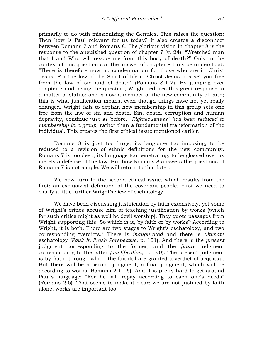primarily to do with missionizing the Gentiles. This raises the question: Then how is Paul relevant for us today? It also creates a disconnect between Romans 7 and Romans 8. The glorious vision in chapter 8 is the response to the anguished question of chapter 7 (v. 24): "Wretched man that I am! Who will rescue me from this body of death?" Only in the context of this question can the answer of chapter 8 truly be understood: "There is therefore now no condemnation for those who are in Christ Jesus. For the law of the Spirit of life in Christ Jesus has set you free from the law of sin and of death" (Romans 8:1-2). By jumping over chapter 7 and losing the question, Wright reduces this great response to a matter of status: one is now a member of the new community of faith; this is what justification means, even though things have not yet really changed. Wright fails to explain how membership in this group sets one free from the law of sin and death. Sin, death, corruption and human depravity, continue just as before. "*Righteousness" has been reduced to membership in a group,* rather than a fundamental transformation of the individual. This creates the first ethical issue mentioned earlier.

Romans 8 is just too large, its language too imposing, to be reduced to a revision of ethnic definitions for the new community. Romans 7 is too deep, its language too penetrating, to be glossed over as merely a defense of the law. But how Romans 8 answers the questions of Romans 7 is not simple. We will return to that later.

We now turn to the second ethical issue, which results from the first: an exclusivist definition of the covenant people. First we need to clarify a little further Wright's view of eschatology.

We have been discussing justification by faith extensively, yet some of Wright's critics accuse him of teaching justification by works (which for such critics might as well be devil worship). They quote passages from Wright supporting this. So which is it, by faith or by works? According to Wright, it is both. There are two stages to Wright's eschatology, and two corresponding "verdicts." There is *inaugurated* and there is *ultimate* eschatology *(Paul: In Fresh Perspective,* p. 151). And there is the *present* judgment corresponding to the former, and the *future* judgment corresponding to the latter *(Justification,* p. 190). The present judgment is by faith, through which the faithful are granted a verdict of acquittal. But there will be a second judgment, a final judgment, which will be according to works (Romans 2:1-16). And it is pretty hard to get around Paul's language: "For he will repay according to each one's deeds" (Romans 2:6). That seems to make it clear: we are not justified by faith alone; works are important too.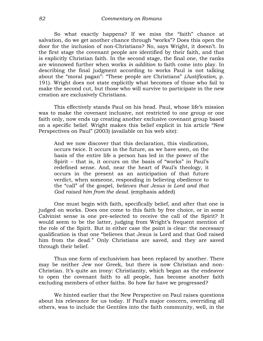So what exactly happens? If we miss the "faith" chance at salvation, do we get another chance through "works"? Does this open the door for the inclusion of non-Christians? No, says Wright, it doesn't. In the first stage the covenant people are identified by their faith, and that is explicitly Christian faith. In the second stage, the final one, the ranks are winnowed further when works *in addition to* faith come into play. In describing the final judgment according to works Paul is not talking about the "moral pagan": "These people are Christians" *(Justification,* p. 191). Wright does not state explicitly what becomes of those who fail to make the second cut, but those who will survive to participate in the new creation are exclusively Christians.

This effectively stands Paul on his head. Paul, whose life's mission was to make the covenant inclusive, not restricted to one group or one faith only, now ends up creating another exclusive covenant group based on a specific belief. Wright makes this belief explicit in his article "New Perspectives on Paul" (2003) (available on his web site):

And we now discover that this declaration, this vindication, occurs twice. It occurs in the future, as we have seen, on the basis of the entire life a person has led in the power of the Spirit – that is, it occurs on the basis of "works" in Paul's redefined sense. And, near the heart of Paul's theology, it occurs in the present as an anticipation of that future verdict, when someone, responding in believing obedience to the "call" of the gospel, *believes that Jesus is Lord and that God raised him from the dead.* (emphasis added)

One must begin with faith, specifically belief, and after that one is judged on works. Does one come to this faith by free choice, or in some Calvinist sense is one pre-selected to receive the call of the Spirit? It would seem to be the latter, judging from Wright's frequent mention of the role of the Spirit. But in either case the point is clear: the necessary qualification is that one "believes that Jesus is Lord and that God raised him from the dead." Only Christians are saved, and they are saved through their belief.

Thus one form of exclusivism has been replaced by another. There may be neither Jew nor Greek, but there is now Christian and non-Christian. It's quite an irony: Christianity, which began as the endeavor to open the covenant faith to all people, has become another faith excluding members of other faiths. So how far have we progressed?

We hinted earlier that the New Perspective on Paul raises questions about his relevance for us today. If Paul's major concern, overriding all others, was to include the Gentiles into the faith community, well, in the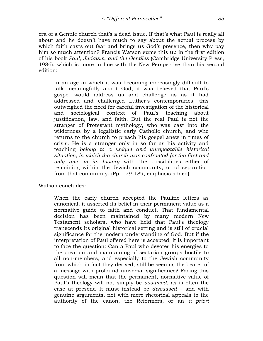era of a Gentile church that's a dead issue. If that's what Paul is really all about and he doesn't have much to say about the actual process by which faith casts out fear and brings us God's presence, then why pay him so much attention? Francis Watson sums this up in the first edition of his book *Paul, Judaism, and the Gentiles* (Cambridge University Press, 1986), which is more in line with the New Perspective than his second edition:

In an age in which it was becoming increasingly difficult to talk meaningfully about God, it was believed that Paul's gospel would address us and challenge us as it had addressed and challenged Luther's contemporaries; this outweighed the need for careful investigation of the historical and sociological context of Paul's teaching about justification, law, and faith. But the real Paul is not the stranger of Protestant mythology, who was cast into the wilderness by a legalistic early Catholic church, and who returns to the church to preach his gospel anew in times of crisis. He is a stranger only in so far as his activity and teaching *belong to a unique and unrepeatable historical situation, in which the church was confronted for the first and only time in its history* with the possibilities either of remaining within the Jewish community, or of separation from that community. (Pp. 179-189, emphasis added)

Watson concludes:

When the early church accepted the Pauline letters as canonical, it asserted its belief in their permanent value as a normative guide to faith and conduct. That fundamental decision has been maintained by many modern New Testament scholars, who have held that Paul's theology transcends its original historical setting and is still of crucial significance for the modern understanding of God. But if the interpretation of Paul offered here is accepted, it is important to face the question: Can a Paul who devotes his energies to the creation and maintaining of sectarian groups hostile to all non-members, and especially to the Jewish community from which in fact they derived, still be seen as the bearer of a message with profound universal significance? Facing this question will mean that the permanent, normative value of Paul's theology will not simply be *assumed,* as is often the case at present. It must instead be *discussed* – and with genuine arguments, not with mere rhetorical appeals to the authority of the canon, the Reformers, or an *a priori*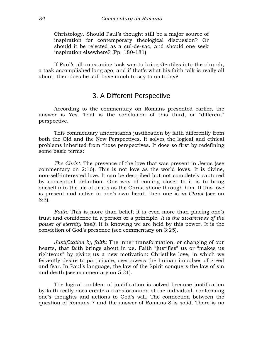Christology. Should Paul's thought still be a major source of inspiration for contemporary theological discussion? Or should it be rejected as a cul-de-sac, and should one seek inspiration elsewhere? (Pp. 180-181)

If Paul's all-consuming task was to bring Gentiles into the church, a task accomplished long ago, and if that's what his faith talk is really all about, then does he still have much to say to us today?

# 3. A Different Perspective

According to the commentary on Romans presented earlier, the answer is Yes. That is the conclusion of this third, or "different" perspective.

This commentary understands justification by faith differently from both the Old and the New Perspectives. It solves the logical and ethical problems inherited from those perspectives. It does so first by redefining some basic terms:

*The Christ:* The presence of the love that was present in Jesus (see commentary on 2:16). This is not love as the world loves. It is divine, non-self-interested love. It can be described but not completely captured by conceptual definition. One way of coming closer to it is to bring oneself into the life of Jesus as the Christ shone through him. If this love is present and active in one's own heart, then one is *in Christ* (see on 8:3)*.*

*Faith:* This is more than belief; it is even more than placing one's trust and confidence in a person or a principle. *It is the awareness of the power of eternity itself.* It is knowing we are held by this power. It is the conviction of God's presence (see commentary on 3:25).

*Justification by faith:* The inner transformation, or changing of our hearts, that faith brings about in us. Faith "justifies" us or "makes us righteous" by giving us a new motivation: Christlike love, in which we fervently desire to participate, overpowers the human impulses of greed and fear. In Paul's language, the law of the Spirit conquers the law of sin and death (see commentary on 5:21).

The logical problem of justification is solved because justification by faith really does create a transformation of the individual, conforming one's thoughts and actions to God's will. The connection between the question of Romans 7 and the answer of Romans 8 is solid. There is no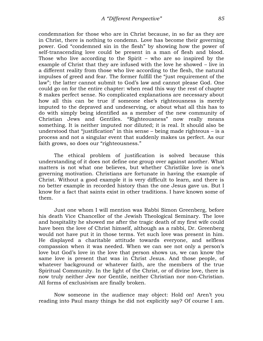condemnation for those who are in Christ because, in so far as they are in Christ, there is nothing to condemn. Love has become their governing power. God "condemned sin in the flesh" by showing how the power of self-transcending love could be present in a man of flesh and blood. Those who live according to the Spirit – who are so inspired by the example of Christ that they are infused with the love he showed – live in a different reality from those who live according to the flesh, the natural impulses of greed and fear. The former fulfill the "just requirement of the law"; the latter cannot submit to God's law and cannot please God. One could go on for the entire chapter: when read this way the rest of chapter 8 makes perfect sense. No complicated explanations are necessary about how all this can be true if someone else's righteousness is merely imputed to the depraved and undeserving, or about what all this has to do with simply being identified as a member of the new community of Christian Jews and Gentiles. "Righteousness" now really means something. It is neither imputed nor diluted; it is real. It should also be understood that "justification" in this sense – being made righteous – is a process and not a singular event that suddenly makes us perfect. As our faith grows, so does our "righteousness."

The ethical problem of justification is solved because this understanding of it does not define one group over against another. What matters is not what one believes, but whether Christlike love is one's governing motivation. Christians are fortunate in having the example of Christ. Without a good example it is very difficult to learn, and there is no better example in recorded history than the one Jesus gave us. But I know for a fact that saints exist in other traditions. I have known some of them.

Just one whom I will mention was Rabbi Simon Greenberg, before his death Vice Chancellor of the Jewish Theological Seminary. The love and hospitality he showed me after the tragic death of my first wife could have been the love of Christ himself, although as a rabbi, Dr. Greenberg would not have put it in those terms. Yet such love was present in him. He displayed a charitable attitude towards everyone, and selfless compassion when it was needed. When we can see not only a person's love but God's love in the love that person shows us, we can know the same love is present that was in Christ Jesus. And those people, of whatever background or whatever faith, are the members of the true Spiritual Community. In the light of the Christ, or of divine love, there is now truly neither Jew nor Gentile, neither Christian nor non-Christian. All forms of exclusivism are finally broken.

Now someone in the audience may object: Hold on! Aren't you reading into Paul many things he did not explicitly say? Of course I am.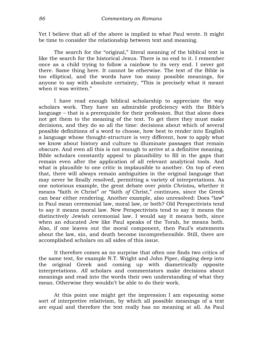Yet I believe that all of the above is implied in what Paul wrote. It might be time to consider the relationship between text and meaning.

The search for the "original," literal meaning of the biblical text is like the search for the historical Jesus. There is no end to it. I remember once as a child trying to follow a rainbow to its very end. I never got there. Same thing here. It cannot be otherwise. The text of the Bible is too elliptical, and the words have too many possible meanings, for anyone to say with absolute certainty, "This is precisely what it meant when it was written."

I have read enough biblical scholarship to appreciate the way scholars work. They have an admirable proficiency with the Bible's language – that is a prerequisite for their profession. But that alone does not get them to the meaning of the text. To get there they must make decisions, and they do so all the time: decisions about which of several possible definitions of a word to choose, how best to render into English a language whose thought-structure is very different, how to apply what we know about history and culture to illuminate passages that remain obscure. And even all this is not enough to arrive at a definitive meaning. Bible scholars constantly appeal to plausibility to fill in the gaps that remain even after the application of all relevant analytical tools. And what is plausible to one critic is implausible to another. On top of even that, there will always remain ambiguities in the original language that may never be finally resolved, permitting a variety of interpretations. As one notorious example, the great debate over *pistis Christou,* whether it means "faith *in* Christ" or "faith *of* Christ," continues, since the Greek can bear either rendering. Another example, also unresolved: Does "law" in Paul mean ceremonial law, moral law, or both? Old Perspectivists tend to say it means moral law. New Perspectivists tend to say it means the distinctively Jewish ceremonial law. I would say it means both, since when an educated Jew like Paul speaks of the Torah, he means both. Also, if one leaves out the moral component, then Paul's statements about the law, sin, and death become incomprehensible. Still, there are accomplished scholars on all sides of this issue.

It therefore comes as no surprise that often one finds two critics of the same text, for example N.T. Wright and John Piper, digging deep into the original Greek and coming up with diametrically opposite interpretations. *All* scholars and commentators make decisions about meanings and read into the words their own understanding of what they mean. Otherwise they wouldn't be able to do their work.

At this point one might get the impression I am espousing some sort of interpretive relativism, by which all possible meanings of a text are equal and therefore the text really has no meaning at all. As Paul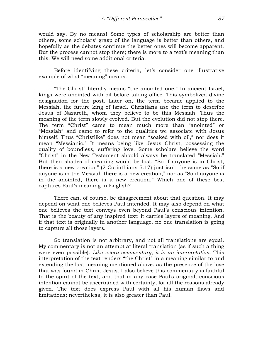would say, By no means! Some types of scholarship are better than others, some scholars' grasp of the language is better than others, and hopefully as the debates continue the better ones will become apparent. But the process cannot stop there; there is more to a text's meaning than this. We will need some additional criteria.

Before identifying these criteria, let's consider one illustrative example of what "meaning" means.

"The Christ" literally means "the anointed one." In ancient Israel, kings were anointed with oil before taking office. This symbolized divine designation for the post. Later on, the term became applied to the Messiah, the future king of Israel. Christians use the term to describe Jesus of Nazareth, whom they believe to be this Messiah. Thus the meaning of the term slowly evolved. But the evolution did not stop there. The term "Christ" came to mean much more than "anointed" or "Messiah" and came to refer to the qualities we associate with Jesus himself. Thus "Christlike" does not mean "soaked with oil," nor does it mean "Messianic." It means being like Jesus Christ, possessing the quality of boundless, suffering love. Some scholars believe the word "Christ" in the New Testament should always be translated "Messiah." But then shades of meaning would be lost. "So if anyone is in Christ, there is a new creation" (2 Corinthians 5:17) just isn't the same as "So if anyone is in the Messiah there is a new creation," nor as "So if anyone is in the anointed, there is a new creation." Which one of these best captures Paul's meaning in English?

There can, of course, be disagreement about that question. It may depend on what one believes Paul intended. It may also depend on what one believes the text conveys even beyond Paul's conscious intention. That is the beauty of any inspired text: it carries layers of meaning. And if that text is originally in another language, no one translation is going to capture all those layers.

So translation is not arbitrary, and not all translations are equal. My commentary is not an attempt at literal translation (as if such a thing were even possible). *Like every commentary, it is an interpretation.* This interpretation of the text renders "the Christ" in a meaning similar to and extending the last meaning mentioned above: as the presence of the love that was found in Christ Jesus. I also believe this commentary is faithful to the spirit of the text, and that in any case Paul's original, conscious intention cannot be ascertained with certainty, for all the reasons already given. The text does express Paul with all his human flaws and limitations; nevertheless, it is also greater than Paul.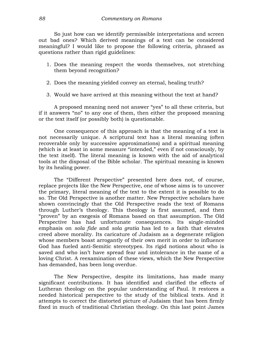So just how can we identify permissible interpretations and screen out bad ones? Which derived meanings of a text can be considered meaningful? I would like to propose the following criteria, phrased as questions rather than rigid guidelines:

- 1. Does the meaning respect the words themselves, not stretching them beyond recognition?
- 2. Does the meaning yielded convey an eternal, healing truth?
- 3. Would we have arrived at this meaning without the text at hand?

A proposed meaning need not answer "yes" to all these criteria, but if it answers "no" to any one of them, then either the proposed meaning or the text itself (or possibly both) is questionable.

One consequence of this approach is that the meaning of a text is not necessarily unique. A scriptural text has a literal meaning (often recoverable only by successive approximations) and a spiritual meaning (which is at least in some measure "intended," even if not consciously, by the text itself). The literal meaning is known with the aid of analytical tools at the disposal of the Bible scholar. The spiritual meaning is known by its healing power.

The "Different Perspective" presented here does not, of course, replace projects like the New Perspective, one of whose aims is to uncover the primary, literal meaning of the text to the extent it is possible to do so. The Old Perspective is another matter. New Perspective scholars have shown convincingly that the Old Perspective reads the text of Romans through Luther's theology. This theology is first assumed, and then "proven" by an exegesis of Romans based on that assumption. The Old Perspective has had unfortunate consequences. Its single-minded emphasis on *sola fide* and *sola gratia* has led to a faith that elevates creed above morality. Its caricature of Judaism as a degenerate religion whose members boast arrogantly of their own merit in order to influence God has fueled anti-Semitic stereotypes. Its rigid notions about who is saved and who isn't have spread fear and intolerance in the name of a loving Christ. A reexamination of these views, which the New Perspective has demanded, has been long overdue.

The New Perspective, despite its limitations, has made many significant contributions. It has identified and clarified the effects of Lutheran theology on the popular understanding of Paul. It restores a needed historical perspective to the study of the biblical texts. And it attempts to correct the distorted picture of Judaism that has been firmly fixed in much of traditional Christian theology. On this last point James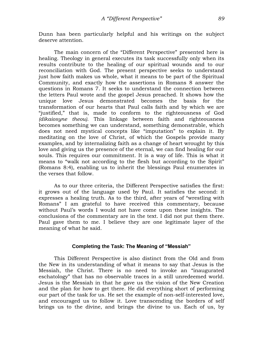Dunn has been particularly helpful and his writings on the subject deserve attention.

The main concern of the "Different Perspective" presented here is healing. Theology in general executes its task successfully only when its results contribute to the healing of our spiritual wounds and to our reconciliation with God. The present perspective seeks to understand just how faith makes us whole, what it means to be part of the Spiritual Community, and exactly how the assertions in Romans 8 answer the questions in Romans 7. It seeks to understand the connection between the letters Paul wrote and the gospel Jesus preached. It shows how the unique love Jesus demonstrated becomes the basis for the transformation of our hearts that Paul calls faith and by which we are "justified," that is, made to conform to the righteousness of God *(dikaiosyne theou).* This linkage between faith and righteousness becomes something we can understand, something demonstrable, which does not need mystical concepts like "imputation" to explain it. By meditating on the love of Christ, of which the Gospels provide many examples, and by internalizing faith as a change of heart wrought by this love and giving us the presence of the eternal, we can find healing for our souls. This requires our commitment. It is a way of life. This is what it means to "walk not according to the flesh but according to the Spirit" (Romans 8:4), enabling us to inherit the blessings Paul enumerates in the verses that follow.

As to our three criteria, the Different Perspective satisfies the first: it grows out of the language used by Paul. It satisfies the second: it expresses a healing truth. As to the third, after years of "wrestling with Romans" I am grateful to have received this commentary, because without Paul's words I would not have come upon these insights. The conclusions of the commentary are in the text. I did not put them there. Paul gave them to me. I believe they are one legitimate layer of the meaning of what he said.

### **Completing the Task: The Meaning of "Messiah"**

This Different Perspective is also distinct from the Old and from the New in its understanding of what it means to say that Jesus is the Messiah, the Christ. There is no need to invoke an "inaugurated eschatology" that has no observable traces in a still unredeemed world. Jesus is the Messiah in that he gave us the vision of the New Creation and the plan for how to get there. He did everything short of performing our part of the task for us. He set the example of non-self-interested love, and encouraged us to follow it. Love transcending the borders of self brings us to the divine, and brings the divine to us. Each of us, by